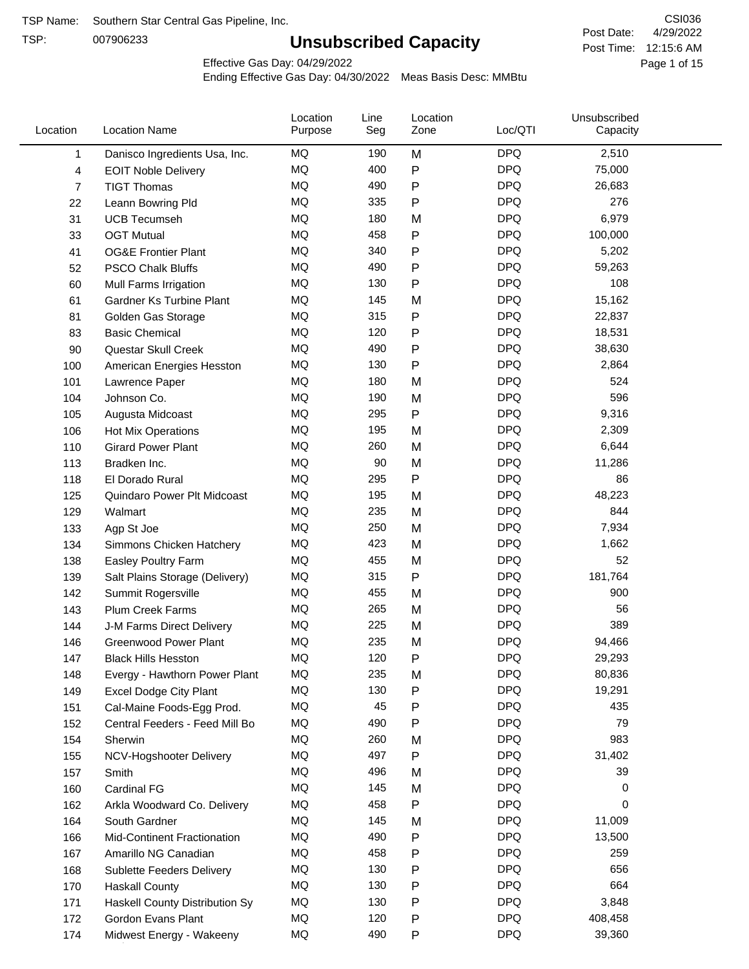TSP:

# **Unsubscribed Capacity**

4/29/2022 Page 1 of 15 Post Time: 12:15:6 AM CSI036 Post Date:

Effective Gas Day: 04/29/2022

| Location | <b>Location Name</b>             | Location<br>Purpose | Line<br>Seg | Location<br>Zone | Loc/QTI    | Unsubscribed<br>Capacity |  |
|----------|----------------------------------|---------------------|-------------|------------------|------------|--------------------------|--|
| 1        | Danisco Ingredients Usa, Inc.    | MQ                  | 190         | M                | <b>DPQ</b> | 2,510                    |  |
| 4        | <b>EOIT Noble Delivery</b>       | MQ                  | 400         | P                | <b>DPQ</b> | 75,000                   |  |
| 7        | <b>TIGT Thomas</b>               | <b>MQ</b>           | 490         | P                | <b>DPQ</b> | 26,683                   |  |
| 22       | Leann Bowring Pld                | <b>MQ</b>           | 335         | P                | <b>DPQ</b> | 276                      |  |
| 31       | <b>UCB Tecumseh</b>              | <b>MQ</b>           | 180         | M                | <b>DPQ</b> | 6,979                    |  |
| 33       | <b>OGT Mutual</b>                | MQ                  | 458         | P                | <b>DPQ</b> | 100,000                  |  |
| 41       | <b>OG&amp;E Frontier Plant</b>   | MQ                  | 340         | P                | <b>DPQ</b> | 5,202                    |  |
| 52       | <b>PSCO Chalk Bluffs</b>         | MQ                  | 490         | P                | <b>DPQ</b> | 59,263                   |  |
| 60       | Mull Farms Irrigation            | <b>MQ</b>           | 130         | P                | <b>DPQ</b> | 108                      |  |
| 61       | <b>Gardner Ks Turbine Plant</b>  | MQ                  | 145         | M                | <b>DPQ</b> | 15,162                   |  |
| 81       | Golden Gas Storage               | <b>MQ</b>           | 315         | P                | <b>DPQ</b> | 22,837                   |  |
| 83       | <b>Basic Chemical</b>            | <b>MQ</b>           | 120         | P                | <b>DPQ</b> | 18,531                   |  |
| 90       | Questar Skull Creek              | <b>MQ</b>           | 490         | P                | <b>DPQ</b> | 38,630                   |  |
| 100      | American Energies Hesston        | MQ                  | 130         | Ρ                | <b>DPQ</b> | 2,864                    |  |
| 101      | Lawrence Paper                   | MQ                  | 180         | M                | <b>DPQ</b> | 524                      |  |
| 104      | Johnson Co.                      | MQ                  | 190         | M                | <b>DPQ</b> | 596                      |  |
| 105      | Augusta Midcoast                 | <b>MQ</b>           | 295         | P                | <b>DPQ</b> | 9,316                    |  |
| 106      | <b>Hot Mix Operations</b>        | MQ                  | 195         | M                | <b>DPQ</b> | 2,309                    |  |
| 110      | <b>Girard Power Plant</b>        | MQ                  | 260         | M                | <b>DPQ</b> | 6,644                    |  |
| 113      | Bradken Inc.                     | <b>MQ</b>           | 90          | M                | <b>DPQ</b> | 11,286                   |  |
| 118      | El Dorado Rural                  | MQ                  | 295         | P                | <b>DPQ</b> | 86                       |  |
| 125      | Quindaro Power Plt Midcoast      | <b>MQ</b>           | 195         | M                | <b>DPQ</b> | 48,223                   |  |
| 129      | Walmart                          | <b>MQ</b>           | 235         | M                | <b>DPQ</b> | 844                      |  |
| 133      | Agp St Joe                       | MQ                  | 250         | M                | <b>DPQ</b> | 7,934                    |  |
| 134      | Simmons Chicken Hatchery         | <b>MQ</b>           | 423         | M                | <b>DPQ</b> | 1,662                    |  |
| 138      | Easley Poultry Farm              | MQ                  | 455         | M                | <b>DPQ</b> | 52                       |  |
| 139      | Salt Plains Storage (Delivery)   | <b>MQ</b>           | 315         | P                | <b>DPQ</b> | 181,764                  |  |
| 142      | Summit Rogersville               | MQ                  | 455         | M                | <b>DPQ</b> | 900                      |  |
| 143      | Plum Creek Farms                 | MQ                  | 265         | M                | <b>DPQ</b> | 56                       |  |
| 144      | J-M Farms Direct Delivery        | MQ                  | 225         | M                | <b>DPQ</b> | 389                      |  |
| 146      | <b>Greenwood Power Plant</b>     | MQ                  | 235         | M                | <b>DPQ</b> | 94,466                   |  |
| 147      | <b>Black Hills Hesston</b>       | MQ                  | 120         | Ρ                | <b>DPQ</b> | 29,293                   |  |
| 148      | Evergy - Hawthorn Power Plant    | MQ                  | 235         | M                | <b>DPQ</b> | 80,836                   |  |
| 149      | <b>Excel Dodge City Plant</b>    | MQ                  | 130         | P                | <b>DPQ</b> | 19,291                   |  |
| 151      | Cal-Maine Foods-Egg Prod.        | MQ                  | 45          | Ρ                | <b>DPQ</b> | 435                      |  |
| 152      | Central Feeders - Feed Mill Bo   | MQ                  | 490         | P                | <b>DPQ</b> | 79                       |  |
| 154      | Sherwin                          | MQ                  | 260         | M                | <b>DPQ</b> | 983                      |  |
| 155      | NCV-Hogshooter Delivery          | MQ                  | 497         | P                | <b>DPQ</b> | 31,402                   |  |
| 157      | Smith                            | MQ                  | 496         | M                | <b>DPQ</b> | 39                       |  |
| 160      | Cardinal FG                      | MQ                  | 145         | M                | <b>DPQ</b> | 0                        |  |
| 162      | Arkla Woodward Co. Delivery      | MQ                  | 458         | P                | <b>DPQ</b> | 0                        |  |
| 164      | South Gardner                    | MQ                  | 145         | M                | <b>DPQ</b> | 11,009                   |  |
| 166      | Mid-Continent Fractionation      | MQ                  | 490         | P                | <b>DPQ</b> | 13,500                   |  |
| 167      | Amarillo NG Canadian             | MQ                  | 458         | Ρ                | <b>DPQ</b> | 259                      |  |
| 168      | <b>Sublette Feeders Delivery</b> | MQ                  | 130         | P                | <b>DPQ</b> | 656                      |  |
| 170      | <b>Haskall County</b>            | MQ                  | 130         | P                | <b>DPQ</b> | 664                      |  |
| 171      | Haskell County Distribution Sy   | MQ                  | 130         | Ρ                | <b>DPQ</b> | 3,848                    |  |
| 172      | Gordon Evans Plant               | MQ                  | 120         | Ρ                | <b>DPQ</b> | 408,458                  |  |
| 174      | Midwest Energy - Wakeeny         | MQ                  | 490         | P                | <b>DPQ</b> | 39,360                   |  |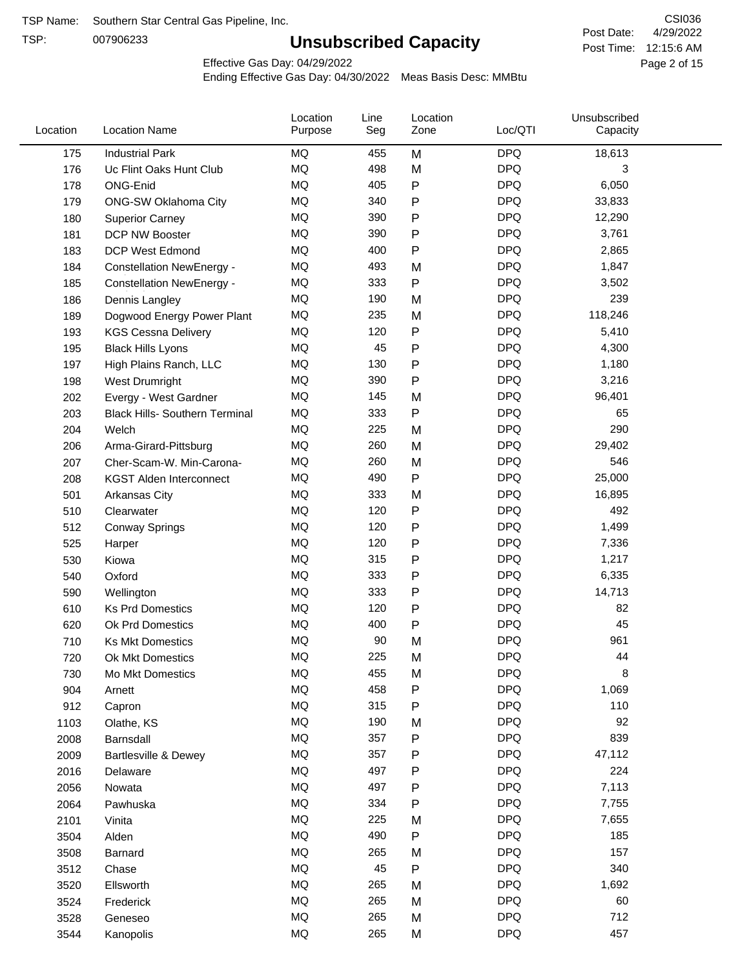TSP:

# **Unsubscribed Capacity**

4/29/2022 Page 2 of 15 Post Time: 12:15:6 AM CSI036 Post Date:

Effective Gas Day: 04/29/2022

| Location | <b>Location Name</b>                  | Location<br>Purpose | Line<br>Seg | Location<br>Zone | Loc/QTI    | Unsubscribed<br>Capacity |  |
|----------|---------------------------------------|---------------------|-------------|------------------|------------|--------------------------|--|
| 175      | <b>Industrial Park</b>                | MQ                  | 455         | M                | <b>DPQ</b> | 18,613                   |  |
| 176      | Uc Flint Oaks Hunt Club               | MQ                  | 498         | M                | <b>DPQ</b> | 3                        |  |
| 178      | ONG-Enid                              | MQ                  | 405         | P                | <b>DPQ</b> | 6,050                    |  |
| 179      | ONG-SW Oklahoma City                  | <b>MQ</b>           | 340         | P                | <b>DPQ</b> | 33,833                   |  |
| 180      | <b>Superior Carney</b>                | MQ                  | 390         | P                | <b>DPQ</b> | 12,290                   |  |
| 181      | DCP NW Booster                        | MQ                  | 390         | P                | <b>DPQ</b> | 3,761                    |  |
| 183      | <b>DCP West Edmond</b>                | MQ                  | 400         | P                | <b>DPQ</b> | 2,865                    |  |
| 184      | <b>Constellation NewEnergy -</b>      | MQ                  | 493         | M                | <b>DPQ</b> | 1,847                    |  |
| 185      | <b>Constellation NewEnergy -</b>      | MQ                  | 333         | P                | <b>DPQ</b> | 3,502                    |  |
| 186      | Dennis Langley                        | <b>MQ</b>           | 190         | M                | <b>DPQ</b> | 239                      |  |
| 189      | Dogwood Energy Power Plant            | <b>MQ</b>           | 235         | M                | <b>DPQ</b> | 118,246                  |  |
| 193      | <b>KGS Cessna Delivery</b>            | <b>MQ</b>           | 120         | P                | <b>DPQ</b> | 5,410                    |  |
| 195      | <b>Black Hills Lyons</b>              | MQ                  | 45          | P                | <b>DPQ</b> | 4,300                    |  |
| 197      | High Plains Ranch, LLC                | MQ                  | 130         | P                | <b>DPQ</b> | 1,180                    |  |
| 198      | West Drumright                        | MQ                  | 390         | P                | <b>DPQ</b> | 3,216                    |  |
| 202      | Evergy - West Gardner                 | MQ                  | 145         | M                | <b>DPQ</b> | 96,401                   |  |
| 203      | <b>Black Hills- Southern Terminal</b> | MQ                  | 333         | P                | <b>DPQ</b> | 65                       |  |
| 204      | Welch                                 | MQ                  | 225         | M                | <b>DPQ</b> | 290                      |  |
| 206      | Arma-Girard-Pittsburg                 | MQ                  | 260         | M                | <b>DPQ</b> | 29,402                   |  |
| 207      | Cher-Scam-W. Min-Carona-              | <b>MQ</b>           | 260         | M                | <b>DPQ</b> | 546                      |  |
| 208      | <b>KGST Alden Interconnect</b>        | <b>MQ</b>           | 490         | P                | <b>DPQ</b> | 25,000                   |  |
| 501      | Arkansas City                         | <b>MQ</b>           | 333         | M                | <b>DPQ</b> | 16,895                   |  |
| 510      | Clearwater                            | MQ                  | 120         | P                | <b>DPQ</b> | 492                      |  |
| 512      | <b>Conway Springs</b>                 | <b>MQ</b>           | 120         | P                | <b>DPQ</b> | 1,499                    |  |
| 525      | Harper                                | <b>MQ</b>           | 120         | P                | <b>DPQ</b> | 7,336                    |  |
| 530      | Kiowa                                 | MQ                  | 315         | P                | <b>DPQ</b> | 1,217                    |  |
| 540      | Oxford                                | MQ                  | 333         | P                | <b>DPQ</b> | 6,335                    |  |
| 590      | Wellington                            | MQ                  | 333         | P                | <b>DPQ</b> | 14,713                   |  |
| 610      | <b>Ks Prd Domestics</b>               | MQ                  | 120         | P                | <b>DPQ</b> | 82                       |  |
| 620      | Ok Prd Domestics                      | MQ                  | 400         | P                | <b>DPQ</b> | 45                       |  |
| 710      | <b>Ks Mkt Domestics</b>               | <b>MQ</b>           | 90          | M                | <b>DPQ</b> | 961                      |  |
| 720      | Ok Mkt Domestics                      | MQ                  | 225         | M                | <b>DPQ</b> | 44                       |  |
| 730      | Mo Mkt Domestics                      | MQ                  | 455         | M                | <b>DPQ</b> | 8                        |  |
| 904      | Arnett                                | $\sf{MQ}$           | 458         | P                | <b>DPQ</b> | 1,069                    |  |
| 912      | Capron                                | $\sf{MQ}$           | 315         | P                | <b>DPQ</b> | 110                      |  |
| 1103     | Olathe, KS                            | $\sf{MQ}$           | 190         | M                | <b>DPQ</b> | 92                       |  |
| 2008     | Barnsdall                             | MQ                  | 357         | P                | <b>DPQ</b> | 839                      |  |
| 2009     | Bartlesville & Dewey                  | MQ                  | 357         | P                | <b>DPQ</b> | 47,112                   |  |
| 2016     | Delaware                              | MQ                  | 497         | P                | <b>DPQ</b> | 224                      |  |
| 2056     | Nowata                                | MQ                  | 497         | P                | <b>DPQ</b> | 7,113                    |  |
| 2064     | Pawhuska                              | MQ                  | 334         | P                | <b>DPQ</b> | 7,755                    |  |
| 2101     | Vinita                                | MQ                  | 225         | M                | <b>DPQ</b> | 7,655                    |  |
| 3504     | Alden                                 | $\sf{MQ}$           | 490         | ${\sf P}$        | <b>DPQ</b> | 185                      |  |
| 3508     | Barnard                               | $\sf{MQ}$           | 265         | M                | <b>DPQ</b> | 157                      |  |
| 3512     | Chase                                 | MQ                  | 45          | ${\sf P}$        | <b>DPQ</b> | 340                      |  |
| 3520     | Ellsworth                             | MQ                  | 265         | M                | <b>DPQ</b> | 1,692                    |  |
| 3524     | Frederick                             | MQ                  | 265         | M                | <b>DPQ</b> | 60                       |  |
| 3528     | Geneseo                               | MQ                  | 265         | M                | <b>DPQ</b> | 712                      |  |
| 3544     | Kanopolis                             | $\sf{MQ}$           | 265         | M                | <b>DPQ</b> | 457                      |  |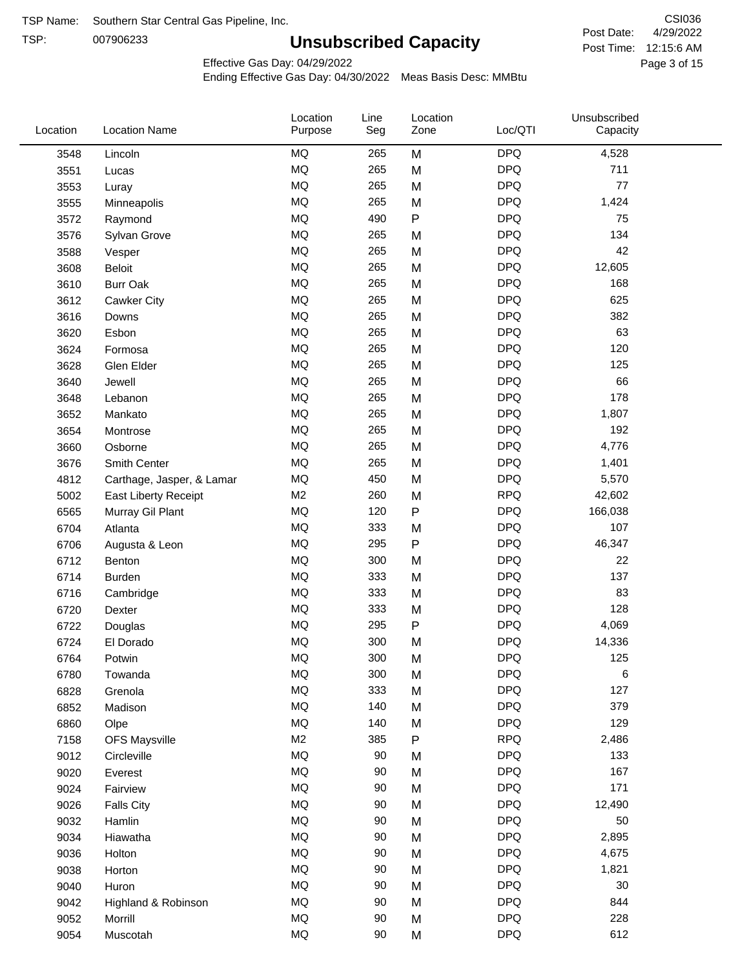TSP: 

# **Unsubscribed Capacity**

4/29/2022 Page 3 of 15 Post Time: 12:15:6 AM CSI036 Post Date:

Effective Gas Day: 04/29/2022

| Location | <b>Location Name</b>      | Location<br>Purpose | Line<br>Seg | Location<br>Zone | Loc/QTI    | Unsubscribed<br>Capacity |  |
|----------|---------------------------|---------------------|-------------|------------------|------------|--------------------------|--|
| 3548     | Lincoln                   | <b>MQ</b>           | 265         | M                | <b>DPQ</b> | 4,528                    |  |
| 3551     | Lucas                     | <b>MQ</b>           | 265         | M                | <b>DPQ</b> | 711                      |  |
| 3553     | Luray                     | <b>MQ</b>           | 265         | M                | <b>DPQ</b> | 77                       |  |
| 3555     | Minneapolis               | <b>MQ</b>           | 265         | M                | <b>DPQ</b> | 1,424                    |  |
| 3572     | Raymond                   | <b>MQ</b>           | 490         | P                | <b>DPQ</b> | 75                       |  |
| 3576     | Sylvan Grove              | <b>MQ</b>           | 265         | M                | <b>DPQ</b> | 134                      |  |
| 3588     | Vesper                    | <b>MQ</b>           | 265         | M                | <b>DPQ</b> | 42                       |  |
| 3608     | Beloit                    | <b>MQ</b>           | 265         | M                | <b>DPQ</b> | 12,605                   |  |
| 3610     | <b>Burr Oak</b>           | <b>MQ</b>           | 265         | M                | <b>DPQ</b> | 168                      |  |
| 3612     | Cawker City               | <b>MQ</b>           | 265         | M                | <b>DPQ</b> | 625                      |  |
| 3616     | Downs                     | <b>MQ</b>           | 265         | M                | <b>DPQ</b> | 382                      |  |
| 3620     | Esbon                     | <b>MQ</b>           | 265         | M                | <b>DPQ</b> | 63                       |  |
| 3624     | Formosa                   | <b>MQ</b>           | 265         | M                | <b>DPQ</b> | 120                      |  |
| 3628     | Glen Elder                | <b>MQ</b>           | 265         | M                | <b>DPQ</b> | 125                      |  |
| 3640     | Jewell                    | <b>MQ</b>           | 265         | M                | <b>DPQ</b> | 66                       |  |
| 3648     | Lebanon                   | <b>MQ</b>           | 265         | M                | <b>DPQ</b> | 178                      |  |
| 3652     | Mankato                   | <b>MQ</b>           | 265         | M                | <b>DPQ</b> | 1,807                    |  |
| 3654     | Montrose                  | <b>MQ</b>           | 265         | M                | <b>DPQ</b> | 192                      |  |
| 3660     | Osborne                   | <b>MQ</b>           | 265         | M                | <b>DPQ</b> | 4,776                    |  |
| 3676     | Smith Center              | <b>MQ</b>           | 265         | M                | <b>DPQ</b> | 1,401                    |  |
| 4812     | Carthage, Jasper, & Lamar | MQ                  | 450         | M                | <b>DPQ</b> | 5,570                    |  |
| 5002     | East Liberty Receipt      | M <sub>2</sub>      | 260         | M                | <b>RPQ</b> | 42,602                   |  |
| 6565     | Murray Gil Plant          | MQ                  | 120         | $\mathsf{P}$     | <b>DPQ</b> | 166,038                  |  |
| 6704     | Atlanta                   | <b>MQ</b>           | 333         | M                | <b>DPQ</b> | 107                      |  |
| 6706     | Augusta & Leon            | <b>MQ</b>           | 295         | P                | <b>DPQ</b> | 46,347                   |  |
| 6712     | Benton                    | <b>MQ</b>           | 300         | M                | <b>DPQ</b> | 22                       |  |
| 6714     | Burden                    | <b>MQ</b>           | 333         | M                | <b>DPQ</b> | 137                      |  |
| 6716     | Cambridge                 | <b>MQ</b>           | 333         | M                | <b>DPQ</b> | 83                       |  |
| 6720     | Dexter                    | <b>MQ</b>           | 333         | M                | <b>DPQ</b> | 128                      |  |
| 6722     | Douglas                   | <b>MQ</b>           | 295         | P                | <b>DPQ</b> | 4,069                    |  |
| 6724     | El Dorado                 | <b>MQ</b>           | 300         | M                | <b>DPQ</b> | 14,336                   |  |
| 6764     | Potwin                    | <b>MQ</b>           | 300         | M                | <b>DPQ</b> | 125                      |  |
| 6780     | Towanda                   | MQ                  | 300         | M                | <b>DPQ</b> | 6                        |  |
| 6828     | Grenola                   | MQ                  | 333         | M                | <b>DPQ</b> | 127                      |  |
| 6852     | Madison                   | <b>MQ</b>           | 140         | M                | <b>DPQ</b> | 379                      |  |
| 6860     | Olpe                      | <b>MQ</b>           | 140         | M                | <b>DPQ</b> | 129                      |  |
| 7158     | <b>OFS Maysville</b>      | M <sub>2</sub>      | 385         | P                | <b>RPQ</b> | 2,486                    |  |
| 9012     | Circleville               | MQ                  | 90          | M                | <b>DPQ</b> | 133                      |  |
| 9020     | Everest                   | MQ                  | 90          | M                | <b>DPQ</b> | 167                      |  |
| 9024     | Fairview                  | MQ                  | 90          | M                | <b>DPQ</b> | 171                      |  |
| 9026     | <b>Falls City</b>         | MQ                  | 90          | M                | <b>DPQ</b> | 12,490                   |  |
| 9032     | Hamlin                    | MQ                  | 90          | M                | <b>DPQ</b> | 50                       |  |
| 9034     | Hiawatha                  | MQ                  | 90          | M                | <b>DPQ</b> | 2,895                    |  |
| 9036     | Holton                    | <b>MQ</b>           | 90          | M                | <b>DPQ</b> | 4,675                    |  |
| 9038     | Horton                    | <b>MQ</b>           | 90          | M                | <b>DPQ</b> | 1,821                    |  |
| 9040     | Huron                     | MQ                  | 90          | M                | <b>DPQ</b> | 30                       |  |
| 9042     | Highland & Robinson       | MQ                  | 90          | M                | <b>DPQ</b> | 844                      |  |
| 9052     | Morrill                   | $\sf{MQ}$           | 90          | M                | <b>DPQ</b> | 228                      |  |
| 9054     | Muscotah                  | <b>MQ</b>           | 90          | M                | <b>DPQ</b> | 612                      |  |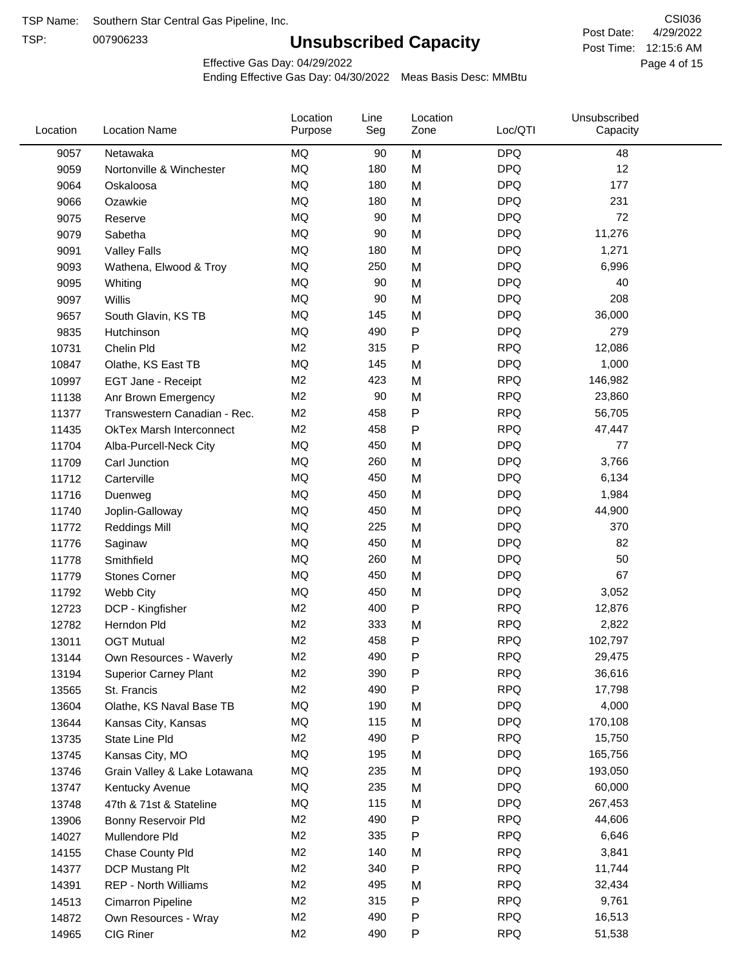TSP:

# **Unsubscribed Capacity**

4/29/2022 Page 4 of 15 Post Time: 12:15:6 AM CSI036 Post Date:

Effective Gas Day: 04/29/2022

| Location | <b>Location Name</b>            | Location<br>Purpose | Line<br>Seg | Location<br>Zone | Loc/QTI    | Unsubscribed<br>Capacity |  |
|----------|---------------------------------|---------------------|-------------|------------------|------------|--------------------------|--|
| 9057     | Netawaka                        | MQ                  | 90          | M                | <b>DPQ</b> | 48                       |  |
| 9059     | Nortonville & Winchester        | MQ                  | 180         | M                | <b>DPQ</b> | 12                       |  |
| 9064     | Oskaloosa                       | MQ                  | 180         | M                | <b>DPQ</b> | 177                      |  |
| 9066     | Ozawkie                         | <b>MQ</b>           | 180         | M                | <b>DPQ</b> | 231                      |  |
| 9075     | Reserve                         | <b>MQ</b>           | 90          | M                | <b>DPQ</b> | 72                       |  |
| 9079     | Sabetha                         | <b>MQ</b>           | 90          | M                | <b>DPQ</b> | 11,276                   |  |
| 9091     | <b>Valley Falls</b>             | <b>MQ</b>           | 180         | M                | <b>DPQ</b> | 1,271                    |  |
| 9093     | Wathena, Elwood & Troy          | <b>MQ</b>           | 250         | M                | <b>DPQ</b> | 6,996                    |  |
| 9095     | Whiting                         | MQ                  | 90          | M                | <b>DPQ</b> | 40                       |  |
| 9097     | Willis                          | <b>MQ</b>           | 90          | M                | <b>DPQ</b> | 208                      |  |
| 9657     | South Glavin, KS TB             | <b>MQ</b>           | 145         | M                | <b>DPQ</b> | 36,000                   |  |
| 9835     | Hutchinson                      | MQ                  | 490         | P                | <b>DPQ</b> | 279                      |  |
| 10731    | Chelin Pld                      | M <sub>2</sub>      | 315         | Ρ                | <b>RPQ</b> | 12,086                   |  |
| 10847    | Olathe, KS East TB              | <b>MQ</b>           | 145         | M                | <b>DPQ</b> | 1,000                    |  |
| 10997    | EGT Jane - Receipt              | M <sub>2</sub>      | 423         | M                | <b>RPQ</b> | 146,982                  |  |
| 11138    | Anr Brown Emergency             | M <sub>2</sub>      | 90          | M                | <b>RPQ</b> | 23,860                   |  |
| 11377    | Transwestern Canadian - Rec.    | M <sub>2</sub>      | 458         | P                | <b>RPQ</b> | 56,705                   |  |
| 11435    | <b>OkTex Marsh Interconnect</b> | M <sub>2</sub>      | 458         | Ρ                | <b>RPQ</b> | 47,447                   |  |
| 11704    | Alba-Purcell-Neck City          | <b>MQ</b>           | 450         | M                | <b>DPQ</b> | 77                       |  |
| 11709    | Carl Junction                   | <b>MQ</b>           | 260         | M                | <b>DPQ</b> | 3,766                    |  |
| 11712    | Carterville                     | <b>MQ</b>           | 450         | M                | <b>DPQ</b> | 6,134                    |  |
| 11716    | Duenweg                         | <b>MQ</b>           | 450         | M                | <b>DPQ</b> | 1,984                    |  |
| 11740    | Joplin-Galloway                 | <b>MQ</b>           | 450         | M                | <b>DPQ</b> | 44,900                   |  |
| 11772    | <b>Reddings Mill</b>            | <b>MQ</b>           | 225         | M                | <b>DPQ</b> | 370                      |  |
| 11776    | Saginaw                         | <b>MQ</b>           | 450         | M                | <b>DPQ</b> | 82                       |  |
| 11778    | Smithfield                      | <b>MQ</b>           | 260         | M                | <b>DPQ</b> | 50                       |  |
| 11779    | <b>Stones Corner</b>            | <b>MQ</b>           | 450         | M                | <b>DPQ</b> | 67                       |  |
| 11792    | Webb City                       | <b>MQ</b>           | 450         | M                | <b>DPQ</b> | 3,052                    |  |
| 12723    | DCP - Kingfisher                | M <sub>2</sub>      | 400         | P                | <b>RPQ</b> | 12,876                   |  |
| 12782    | Herndon Pld                     | M <sub>2</sub>      | 333         | M                | <b>RPQ</b> | 2,822                    |  |
| 13011    | <b>OGT Mutual</b>               | M <sub>2</sub>      | 458         | P                | <b>RPQ</b> | 102,797                  |  |
| 13144    | Own Resources - Waverly         | M <sub>2</sub>      | 490         | P                | <b>RPQ</b> | 29,475                   |  |
| 13194    | <b>Superior Carney Plant</b>    | M <sub>2</sub>      | 390         | Ρ                | <b>RPQ</b> | 36,616                   |  |
| 13565    | St. Francis                     | M <sub>2</sub>      | 490         | Ρ                | <b>RPQ</b> | 17,798                   |  |
| 13604    | Olathe, KS Naval Base TB        | MQ                  | 190         | M                | <b>DPQ</b> | 4,000                    |  |
| 13644    | Kansas City, Kansas             | MQ                  | 115         | M                | <b>DPQ</b> | 170,108                  |  |
| 13735    | State Line Pld                  | M <sub>2</sub>      | 490         | Ρ                | <b>RPQ</b> | 15,750                   |  |
| 13745    | Kansas City, MO                 | MQ                  | 195         | M                | <b>DPQ</b> | 165,756                  |  |
| 13746    | Grain Valley & Lake Lotawana    | MQ                  | 235         | M                | <b>DPQ</b> | 193,050                  |  |
| 13747    | Kentucky Avenue                 | MQ                  | 235         | M                | <b>DPQ</b> | 60,000                   |  |
| 13748    | 47th & 71st & Stateline         | MQ                  | 115         | M                | <b>DPQ</b> | 267,453                  |  |
| 13906    | Bonny Reservoir Pld             | M <sub>2</sub>      | 490         | Ρ                | <b>RPQ</b> | 44,606                   |  |
| 14027    | Mullendore Pld                  | M <sub>2</sub>      | 335         | Ρ                | <b>RPQ</b> | 6,646                    |  |
| 14155    | Chase County Pld                | M <sub>2</sub>      | 140         | M                | <b>RPQ</b> | 3,841                    |  |
| 14377    | DCP Mustang Plt                 | M <sub>2</sub>      | 340         | Ρ                | <b>RPQ</b> | 11,744                   |  |
| 14391    | <b>REP - North Williams</b>     | M <sub>2</sub>      | 495         | M                | <b>RPQ</b> | 32,434                   |  |
| 14513    | Cimarron Pipeline               | M <sub>2</sub>      | 315         | P                | <b>RPQ</b> | 9,761                    |  |
| 14872    | Own Resources - Wray            | M <sub>2</sub>      | 490         | Ρ                | <b>RPQ</b> | 16,513                   |  |
| 14965    | CIG Riner                       | M <sub>2</sub>      | 490         | P                | <b>RPQ</b> | 51,538                   |  |
|          |                                 |                     |             |                  |            |                          |  |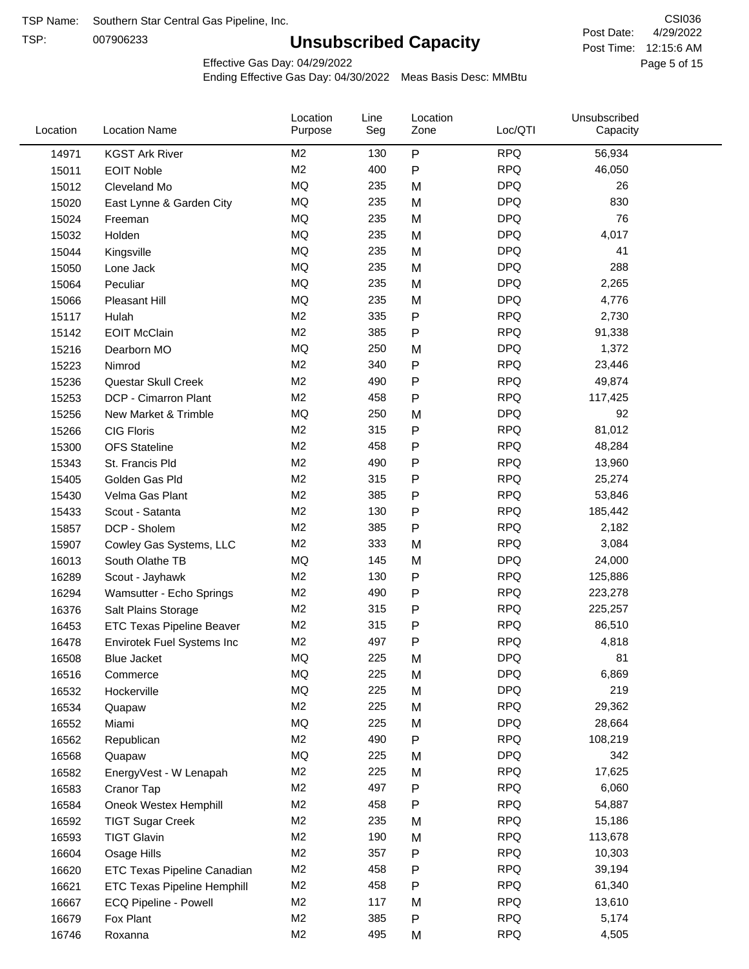TSP:

# **Unsubscribed Capacity**

4/29/2022 Page 5 of 15 Post Time: 12:15:6 AM CSI036 Post Date:

Effective Gas Day: 04/29/2022

| Location | <b>Location Name</b>             | Location<br>Purpose | Line<br>Seg | Location<br>Zone | Loc/QTI    | Unsubscribed<br>Capacity |  |
|----------|----------------------------------|---------------------|-------------|------------------|------------|--------------------------|--|
| 14971    | <b>KGST Ark River</b>            | M <sub>2</sub>      | 130         | P                | <b>RPQ</b> | 56,934                   |  |
| 15011    | <b>EOIT Noble</b>                | M <sub>2</sub>      | 400         | P                | <b>RPQ</b> | 46,050                   |  |
| 15012    | Cleveland Mo                     | <b>MQ</b>           | 235         | M                | <b>DPQ</b> | 26                       |  |
| 15020    | East Lynne & Garden City         | <b>MQ</b>           | 235         | M                | <b>DPQ</b> | 830                      |  |
| 15024    | Freeman                          | MQ                  | 235         | M                | <b>DPQ</b> | 76                       |  |
| 15032    | Holden                           | MQ                  | 235         | M                | <b>DPQ</b> | 4,017                    |  |
| 15044    | Kingsville                       | <b>MQ</b>           | 235         | M                | <b>DPQ</b> | 41                       |  |
| 15050    | Lone Jack                        | <b>MQ</b>           | 235         | M                | <b>DPQ</b> | 288                      |  |
| 15064    | Peculiar                         | <b>MQ</b>           | 235         | M                | <b>DPQ</b> | 2,265                    |  |
| 15066    | <b>Pleasant Hill</b>             | <b>MQ</b>           | 235         | M                | <b>DPQ</b> | 4,776                    |  |
| 15117    | Hulah                            | M <sub>2</sub>      | 335         | P                | <b>RPQ</b> | 2,730                    |  |
| 15142    | <b>EOIT McClain</b>              | M <sub>2</sub>      | 385         | P                | <b>RPQ</b> | 91,338                   |  |
| 15216    | Dearborn MO                      | <b>MQ</b>           | 250         | M                | <b>DPQ</b> | 1,372                    |  |
| 15223    | Nimrod                           | M <sub>2</sub>      | 340         | P                | <b>RPQ</b> | 23,446                   |  |
| 15236    | Questar Skull Creek              | M <sub>2</sub>      | 490         | P                | <b>RPQ</b> | 49,874                   |  |
| 15253    | DCP - Cimarron Plant             | M <sub>2</sub>      | 458         | P                | <b>RPQ</b> | 117,425                  |  |
| 15256    | New Market & Trimble             | <b>MQ</b>           | 250         | M                | <b>DPQ</b> | 92                       |  |
| 15266    | <b>CIG Floris</b>                | M <sub>2</sub>      | 315         | Ρ                | <b>RPQ</b> | 81,012                   |  |
| 15300    | <b>OFS Stateline</b>             | M <sub>2</sub>      | 458         | P                | <b>RPQ</b> | 48,284                   |  |
| 15343    | St. Francis Pld                  | M <sub>2</sub>      | 490         | P                | <b>RPQ</b> | 13,960                   |  |
| 15405    | Golden Gas Pld                   | M <sub>2</sub>      | 315         | P                | <b>RPQ</b> | 25,274                   |  |
| 15430    | Velma Gas Plant                  | M <sub>2</sub>      | 385         | P                | <b>RPQ</b> | 53,846                   |  |
| 15433    | Scout - Satanta                  | M <sub>2</sub>      | 130         | P                | <b>RPQ</b> | 185,442                  |  |
| 15857    | DCP - Sholem                     | M <sub>2</sub>      | 385         | P                | <b>RPQ</b> | 2,182                    |  |
| 15907    | Cowley Gas Systems, LLC          | M <sub>2</sub>      | 333         | M                | <b>RPQ</b> | 3,084                    |  |
| 16013    | South Olathe TB                  | MQ                  | 145         | M                | <b>DPQ</b> | 24,000                   |  |
| 16289    | Scout - Jayhawk                  | M <sub>2</sub>      | 130         | P                | <b>RPQ</b> | 125,886                  |  |
| 16294    | Wamsutter - Echo Springs         | M <sub>2</sub>      | 490         | P                | <b>RPQ</b> | 223,278                  |  |
| 16376    | Salt Plains Storage              | M <sub>2</sub>      | 315         | P                | <b>RPQ</b> | 225,257                  |  |
| 16453    | <b>ETC Texas Pipeline Beaver</b> | M <sub>2</sub>      | 315         | P                | <b>RPQ</b> | 86,510                   |  |
| 16478    | Envirotek Fuel Systems Inc       | M <sub>2</sub>      | 497         | P                | <b>RPQ</b> | 4,818                    |  |
| 16508    | Blue Jacket                      | MQ                  | 225         | M                | <b>DPQ</b> | 81                       |  |
| 16516    | Commerce                         | MQ                  | 225         | M                | <b>DPQ</b> | 6,869                    |  |
| 16532    | Hockerville                      | $\sf{MQ}$           | 225         | M                | <b>DPQ</b> | 219                      |  |
| 16534    | Quapaw                           | M <sub>2</sub>      | 225         | M                | <b>RPQ</b> | 29,362                   |  |
| 16552    | Miami                            | MQ                  | 225         | M                | <b>DPQ</b> | 28,664                   |  |
| 16562    | Republican                       | M <sub>2</sub>      | 490         | Ρ                | <b>RPQ</b> | 108,219                  |  |
| 16568    | Quapaw                           | <b>MQ</b>           | 225         | M                | <b>DPQ</b> | 342                      |  |
| 16582    | EnergyVest - W Lenapah           | M <sub>2</sub>      | 225         | M                | <b>RPQ</b> | 17,625                   |  |
| 16583    | Cranor Tap                       | M <sub>2</sub>      | 497         | Ρ                | <b>RPQ</b> | 6,060                    |  |
| 16584    | Oneok Westex Hemphill            | M <sub>2</sub>      | 458         | Ρ                | <b>RPQ</b> | 54,887                   |  |
| 16592    | <b>TIGT Sugar Creek</b>          | M <sub>2</sub>      | 235         | M                | <b>RPQ</b> | 15,186                   |  |
| 16593    | <b>TIGT Glavin</b>               | M <sub>2</sub>      | 190         | M                | <b>RPQ</b> | 113,678                  |  |
| 16604    | Osage Hills                      | M <sub>2</sub>      | 357         | Ρ                | <b>RPQ</b> | 10,303                   |  |
| 16620    | ETC Texas Pipeline Canadian      | M <sub>2</sub>      | 458         | Ρ                | <b>RPQ</b> | 39,194                   |  |
| 16621    | ETC Texas Pipeline Hemphill      | M <sub>2</sub>      | 458         | Ρ                | <b>RPQ</b> | 61,340                   |  |
| 16667    | ECQ Pipeline - Powell            | M <sub>2</sub>      | 117         | M                | <b>RPQ</b> | 13,610                   |  |
| 16679    | Fox Plant                        | M <sub>2</sub>      | 385         | Ρ                | <b>RPQ</b> | 5,174                    |  |
| 16746    | Roxanna                          | M <sub>2</sub>      | 495         | M                | <b>RPQ</b> | 4,505                    |  |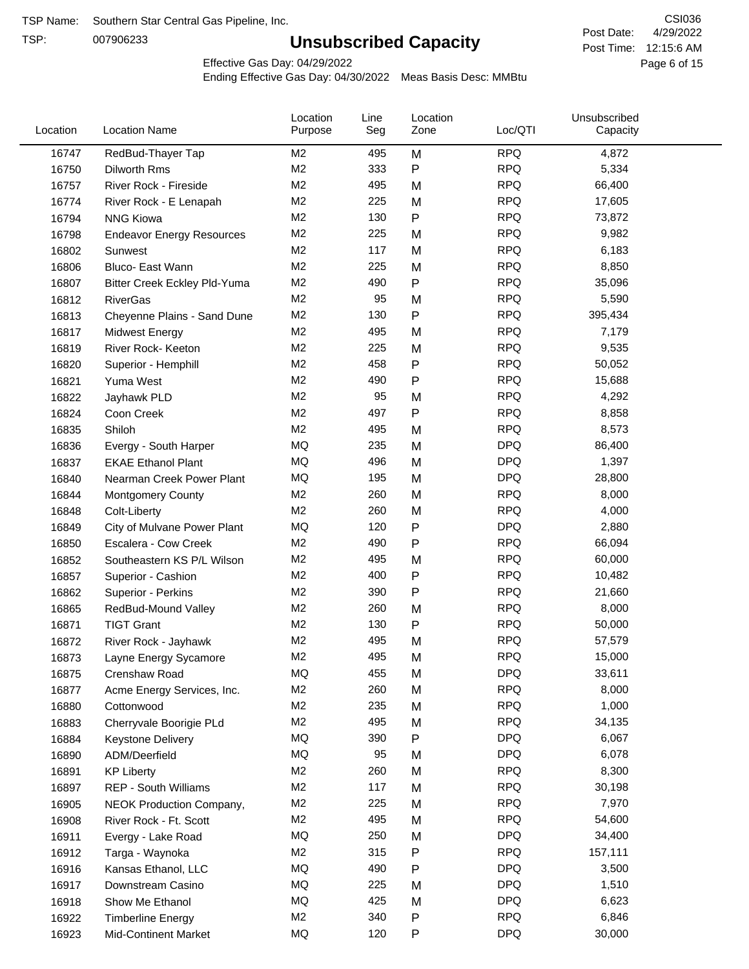TSP:

# **Unsubscribed Capacity**

4/29/2022 Page 6 of 15 Post Time: 12:15:6 AM CSI036 Post Date:

Effective Gas Day: 04/29/2022

| Location | <b>Location Name</b>             | Location<br>Purpose | Line<br>Seg | Location<br>Zone | Loc/QTI    | Unsubscribed<br>Capacity |  |
|----------|----------------------------------|---------------------|-------------|------------------|------------|--------------------------|--|
| 16747    | RedBud-Thayer Tap                | M <sub>2</sub>      | 495         | M                | <b>RPQ</b> | 4,872                    |  |
| 16750    | Dilworth Rms                     | M <sub>2</sub>      | 333         | ${\sf P}$        | <b>RPQ</b> | 5,334                    |  |
| 16757    | River Rock - Fireside            | M <sub>2</sub>      | 495         | M                | <b>RPQ</b> | 66,400                   |  |
| 16774    | River Rock - E Lenapah           | M <sub>2</sub>      | 225         | M                | <b>RPQ</b> | 17,605                   |  |
| 16794    | <b>NNG Kiowa</b>                 | M <sub>2</sub>      | 130         | P                | <b>RPQ</b> | 73,872                   |  |
| 16798    | <b>Endeavor Energy Resources</b> | M <sub>2</sub>      | 225         | M                | <b>RPQ</b> | 9,982                    |  |
| 16802    | Sunwest                          | M <sub>2</sub>      | 117         | M                | <b>RPQ</b> | 6,183                    |  |
| 16806    | Bluco- East Wann                 | M <sub>2</sub>      | 225         | M                | <b>RPQ</b> | 8,850                    |  |
| 16807    | Bitter Creek Eckley Pld-Yuma     | M <sub>2</sub>      | 490         | $\mathsf{P}$     | <b>RPQ</b> | 35,096                   |  |
| 16812    | <b>RiverGas</b>                  | M <sub>2</sub>      | 95          | M                | <b>RPQ</b> | 5,590                    |  |
| 16813    | Cheyenne Plains - Sand Dune      | M <sub>2</sub>      | 130         | P                | <b>RPQ</b> | 395,434                  |  |
| 16817    | <b>Midwest Energy</b>            | M <sub>2</sub>      | 495         | M                | <b>RPQ</b> | 7,179                    |  |
| 16819    | River Rock- Keeton               | M <sub>2</sub>      | 225         | M                | <b>RPQ</b> | 9,535                    |  |
| 16820    | Superior - Hemphill              | M <sub>2</sub>      | 458         | P                | <b>RPQ</b> | 50,052                   |  |
| 16821    | Yuma West                        | M <sub>2</sub>      | 490         | P                | <b>RPQ</b> | 15,688                   |  |
| 16822    | Jayhawk PLD                      | M <sub>2</sub>      | 95          | M                | <b>RPQ</b> | 4,292                    |  |
| 16824    | Coon Creek                       | M <sub>2</sub>      | 497         | P                | <b>RPQ</b> | 8,858                    |  |
| 16835    | Shiloh                           | M <sub>2</sub>      | 495         | M                | <b>RPQ</b> | 8,573                    |  |
| 16836    | Evergy - South Harper            | MQ                  | 235         | M                | <b>DPQ</b> | 86,400                   |  |
| 16837    | <b>EKAE Ethanol Plant</b>        | MQ                  | 496         | M                | <b>DPQ</b> | 1,397                    |  |
| 16840    | Nearman Creek Power Plant        | MQ                  | 195         | M                | <b>DPQ</b> | 28,800                   |  |
| 16844    | <b>Montgomery County</b>         | M <sub>2</sub>      | 260         | M                | <b>RPQ</b> | 8,000                    |  |
| 16848    | Colt-Liberty                     | M <sub>2</sub>      | 260         | M                | <b>RPQ</b> | 4,000                    |  |
| 16849    | City of Mulvane Power Plant      | <b>MQ</b>           | 120         | ${\sf P}$        | <b>DPQ</b> | 2,880                    |  |
| 16850    | Escalera - Cow Creek             | M <sub>2</sub>      | 490         | P                | <b>RPQ</b> | 66,094                   |  |
| 16852    | Southeastern KS P/L Wilson       | M <sub>2</sub>      | 495         | M                | <b>RPQ</b> | 60,000                   |  |
| 16857    | Superior - Cashion               | M <sub>2</sub>      | 400         | P                | <b>RPQ</b> | 10,482                   |  |
| 16862    | Superior - Perkins               | M <sub>2</sub>      | 390         | P                | <b>RPQ</b> | 21,660                   |  |
| 16865    | RedBud-Mound Valley              | M <sub>2</sub>      | 260         | M                | <b>RPQ</b> | 8,000                    |  |
| 16871    | <b>TIGT Grant</b>                | M <sub>2</sub>      | 130         | P                | <b>RPQ</b> | 50,000                   |  |
| 16872    | River Rock - Jayhawk             | M <sub>2</sub>      | 495         | M                | <b>RPQ</b> | 57,579                   |  |
| 16873    | Layne Energy Sycamore            | M <sub>2</sub>      | 495         | M                | <b>RPQ</b> | 15,000                   |  |
| 16875    | Crenshaw Road                    | MQ                  | 455         | M                | <b>DPQ</b> | 33,611                   |  |
| 16877    | Acme Energy Services, Inc.       | M <sub>2</sub>      | 260         | M                | <b>RPQ</b> | 8,000                    |  |
| 16880    | Cottonwood                       | M <sub>2</sub>      | 235         | M                | <b>RPQ</b> | 1,000                    |  |
| 16883    | Cherryvale Boorigie PLd          | M <sub>2</sub>      | 495         | M                | <b>RPQ</b> | 34,135                   |  |
| 16884    | Keystone Delivery                | MQ                  | 390         | P                | <b>DPQ</b> | 6,067                    |  |
| 16890    | ADM/Deerfield                    | MQ                  | 95          | M                | <b>DPQ</b> | 6,078                    |  |
| 16891    | <b>KP Liberty</b>                | M <sub>2</sub>      | 260         | M                | <b>RPQ</b> | 8,300                    |  |
| 16897    | REP - South Williams             | M <sub>2</sub>      | 117         | M                | <b>RPQ</b> | 30,198                   |  |
| 16905    | NEOK Production Company,         | M <sub>2</sub>      | 225         | M                | <b>RPQ</b> | 7,970                    |  |
| 16908    | River Rock - Ft. Scott           | M2                  | 495         | M                | <b>RPQ</b> | 54,600                   |  |
| 16911    | Evergy - Lake Road               | MQ                  | 250         | M                | <b>DPQ</b> | 34,400                   |  |
| 16912    | Targa - Waynoka                  | M <sub>2</sub>      | 315         | P                | <b>RPQ</b> | 157,111                  |  |
| 16916    | Kansas Ethanol, LLC              | MQ                  | 490         | P                | <b>DPQ</b> | 3,500                    |  |
| 16917    | Downstream Casino                | MQ                  | 225         | M                | <b>DPQ</b> | 1,510                    |  |
| 16918    | Show Me Ethanol                  | MQ                  | 425         | M                | <b>DPQ</b> | 6,623                    |  |
| 16922    | <b>Timberline Energy</b>         | M <sub>2</sub>      | 340         | P                | <b>RPQ</b> | 6,846                    |  |
| 16923    | <b>Mid-Continent Market</b>      | MQ                  | 120         | P                | <b>DPQ</b> | 30,000                   |  |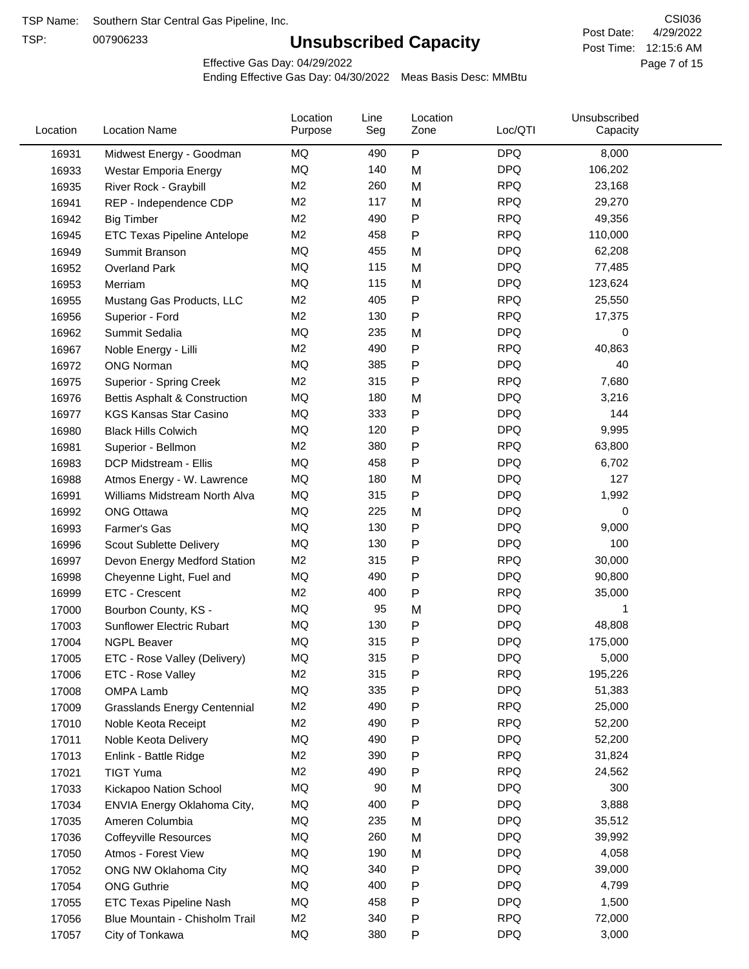TSP:

# **Unsubscribed Capacity**

4/29/2022 Page 7 of 15 Post Time: 12:15:6 AM CSI036 Post Date:

Effective Gas Day: 04/29/2022

| Location | <b>Location Name</b>                | Location<br>Purpose | Line<br>Seg | Location<br>Zone | Loc/QTI    | Unsubscribed<br>Capacity |  |
|----------|-------------------------------------|---------------------|-------------|------------------|------------|--------------------------|--|
| 16931    | Midwest Energy - Goodman            | ΜQ                  | 490         | P                | <b>DPQ</b> | 8,000                    |  |
| 16933    | Westar Emporia Energy               | MQ                  | 140         | M                | <b>DPQ</b> | 106,202                  |  |
| 16935    | River Rock - Graybill               | M <sub>2</sub>      | 260         | M                | <b>RPQ</b> | 23,168                   |  |
| 16941    | REP - Independence CDP              | M <sub>2</sub>      | 117         | M                | <b>RPQ</b> | 29,270                   |  |
| 16942    | <b>Big Timber</b>                   | M <sub>2</sub>      | 490         | P                | <b>RPQ</b> | 49,356                   |  |
| 16945    | ETC Texas Pipeline Antelope         | M <sub>2</sub>      | 458         | Ρ                | <b>RPQ</b> | 110,000                  |  |
| 16949    | Summit Branson                      | MQ                  | 455         | M                | <b>DPQ</b> | 62,208                   |  |
| 16952    | <b>Overland Park</b>                | MQ                  | 115         | M                | <b>DPQ</b> | 77,485                   |  |
| 16953    | Merriam                             | MQ                  | 115         | M                | <b>DPQ</b> | 123,624                  |  |
| 16955    | Mustang Gas Products, LLC           | M <sub>2</sub>      | 405         | Ρ                | <b>RPQ</b> | 25,550                   |  |
| 16956    | Superior - Ford                     | M <sub>2</sub>      | 130         | Ρ                | <b>RPQ</b> | 17,375                   |  |
| 16962    | Summit Sedalia                      | MQ                  | 235         | M                | <b>DPQ</b> | 0                        |  |
| 16967    | Noble Energy - Lilli                | M <sub>2</sub>      | 490         | $\mathsf{P}$     | <b>RPQ</b> | 40,863                   |  |
| 16972    | <b>ONG Norman</b>                   | MQ                  | 385         | $\mathsf{P}$     | <b>DPQ</b> | 40                       |  |
| 16975    | <b>Superior - Spring Creek</b>      | M <sub>2</sub>      | 315         | Ρ                | <b>RPQ</b> | 7,680                    |  |
| 16976    | Bettis Asphalt & Construction       | MQ                  | 180         | M                | <b>DPQ</b> | 3,216                    |  |
| 16977    | <b>KGS Kansas Star Casino</b>       | MQ                  | 333         | $\mathsf{P}$     | <b>DPQ</b> | 144                      |  |
| 16980    | <b>Black Hills Colwich</b>          | MQ                  | 120         | Ρ                | <b>DPQ</b> | 9,995                    |  |
| 16981    | Superior - Bellmon                  | M <sub>2</sub>      | 380         | Ρ                | <b>RPQ</b> | 63,800                   |  |
| 16983    | DCP Midstream - Ellis               | MQ                  | 458         | Ρ                | <b>DPQ</b> | 6,702                    |  |
| 16988    | Atmos Energy - W. Lawrence          | MQ                  | 180         | M                | <b>DPQ</b> | 127                      |  |
| 16991    | Williams Midstream North Alva       | MQ                  | 315         | $\mathsf{P}$     | <b>DPQ</b> | 1,992                    |  |
| 16992    | <b>ONG Ottawa</b>                   | MQ                  | 225         | M                | <b>DPQ</b> | 0                        |  |
| 16993    | Farmer's Gas                        | MQ                  | 130         | Ρ                | <b>DPQ</b> | 9,000                    |  |
| 16996    | Scout Sublette Delivery             | MQ                  | 130         | Ρ                | <b>DPQ</b> | 100                      |  |
| 16997    | Devon Energy Medford Station        | M <sub>2</sub>      | 315         | Ρ                | <b>RPQ</b> | 30,000                   |  |
| 16998    | Cheyenne Light, Fuel and            | MQ                  | 490         | $\mathsf{P}$     | <b>DPQ</b> | 90,800                   |  |
| 16999    | ETC - Crescent                      | M <sub>2</sub>      | 400         | Ρ                | <b>RPQ</b> | 35,000                   |  |
| 17000    | Bourbon County, KS -                | MQ                  | 95          | M                | <b>DPQ</b> | 1                        |  |
| 17003    | Sunflower Electric Rubart           | MQ                  | 130         | Ρ                | <b>DPQ</b> | 48,808                   |  |
|          |                                     | MQ                  | 315         | P                | <b>DPQ</b> | 175,000                  |  |
| 17004    | <b>NGPL Beaver</b>                  | MQ                  | 315         |                  | <b>DPQ</b> | 5,000                    |  |
| 17005    | ETC - Rose Valley (Delivery)        | M <sub>2</sub>      | 315         | P<br>Ρ           | <b>RPQ</b> | 195,226                  |  |
| 17006    | ETC - Rose Valley                   | MQ                  | 335         |                  | <b>DPQ</b> | 51,383                   |  |
| 17008    | <b>OMPA Lamb</b>                    | M <sub>2</sub>      | 490         | Ρ<br>Ρ           | <b>RPQ</b> | 25,000                   |  |
| 17009    | <b>Grasslands Energy Centennial</b> | M <sub>2</sub>      | 490         |                  | <b>RPQ</b> | 52,200                   |  |
| 17010    | Noble Keota Receipt                 | MQ                  | 490         | Ρ                | <b>DPQ</b> |                          |  |
| 17011    | Noble Keota Delivery                | M <sub>2</sub>      |             | $\mathsf{P}$     | <b>RPQ</b> | 52,200                   |  |
| 17013    | Enlink - Battle Ridge               | M <sub>2</sub>      | 390<br>490  | Ρ                | <b>RPQ</b> | 31,824                   |  |
| 17021    | <b>TIGT Yuma</b>                    | MQ                  | 90          | Ρ                | <b>DPQ</b> | 24,562<br>300            |  |
| 17033    | Kickapoo Nation School              |                     |             | M                | <b>DPQ</b> |                          |  |
| 17034    | ENVIA Energy Oklahoma City,         | MQ                  | 400         | Ρ                |            | 3,888                    |  |
| 17035    | Ameren Columbia                     | MQ                  | 235         | M                | <b>DPQ</b> | 35,512                   |  |
| 17036    | <b>Coffeyville Resources</b>        | MQ                  | 260         | M                | <b>DPQ</b> | 39,992                   |  |
| 17050    | Atmos - Forest View                 | MQ                  | 190         | M                | <b>DPQ</b> | 4,058                    |  |
| 17052    | ONG NW Oklahoma City                | MQ                  | 340         | Ρ                | <b>DPQ</b> | 39,000                   |  |
| 17054    | <b>ONG Guthrie</b>                  | MQ                  | 400         | Ρ                | <b>DPQ</b> | 4,799                    |  |
| 17055    | ETC Texas Pipeline Nash             | MQ                  | 458         | Ρ                | <b>DPQ</b> | 1,500                    |  |
| 17056    | Blue Mountain - Chisholm Trail      | M <sub>2</sub>      | 340         | Ρ                | <b>RPQ</b> | 72,000                   |  |
| 17057    | City of Tonkawa                     | MQ                  | 380         | P                | <b>DPQ</b> | 3,000                    |  |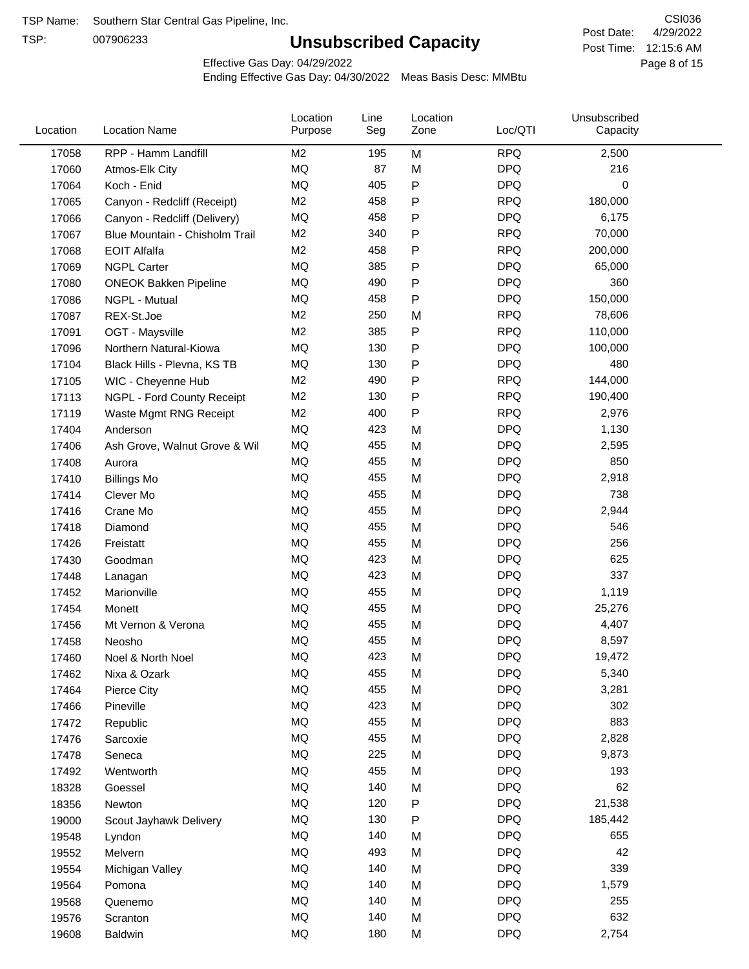TSP:

# **Unsubscribed Capacity**

4/29/2022 Page 8 of 15 Post Time: 12:15:6 AM CSI036 Post Date:

Effective Gas Day: 04/29/2022

| Location | <b>Location Name</b>           | Location<br>Purpose | Line<br>Seg | Location<br>Zone | Loc/QTI    | Unsubscribed<br>Capacity |  |
|----------|--------------------------------|---------------------|-------------|------------------|------------|--------------------------|--|
| 17058    | RPP - Hamm Landfill            | M <sub>2</sub>      | 195         | M                | <b>RPQ</b> | 2,500                    |  |
| 17060    | Atmos-Elk City                 | MQ                  | 87          | M                | <b>DPQ</b> | 216                      |  |
| 17064    | Koch - Enid                    | MQ                  | 405         | P                | <b>DPQ</b> | 0                        |  |
| 17065    | Canyon - Redcliff (Receipt)    | M <sub>2</sub>      | 458         | Ρ                | <b>RPQ</b> | 180,000                  |  |
| 17066    | Canyon - Redcliff (Delivery)   | MQ                  | 458         | Ρ                | <b>DPQ</b> | 6,175                    |  |
| 17067    | Blue Mountain - Chisholm Trail | M <sub>2</sub>      | 340         | P                | <b>RPQ</b> | 70,000                   |  |
| 17068    | <b>EOIT Alfalfa</b>            | M <sub>2</sub>      | 458         | Ρ                | <b>RPQ</b> | 200,000                  |  |
| 17069    | <b>NGPL Carter</b>             | MQ                  | 385         | P                | <b>DPQ</b> | 65,000                   |  |
| 17080    | <b>ONEOK Bakken Pipeline</b>   | MQ                  | 490         | Ρ                | <b>DPQ</b> | 360                      |  |
| 17086    | NGPL - Mutual                  | MQ                  | 458         | P                | <b>DPQ</b> | 150,000                  |  |
| 17087    | REX-St.Joe                     | M <sub>2</sub>      | 250         | M                | <b>RPQ</b> | 78,606                   |  |
| 17091    | OGT - Maysville                | M <sub>2</sub>      | 385         | P                | <b>RPQ</b> | 110,000                  |  |
| 17096    | Northern Natural-Kiowa         | MQ                  | 130         | P                | <b>DPQ</b> | 100,000                  |  |
| 17104    | Black Hills - Plevna, KS TB    | MQ                  | 130         | Ρ                | <b>DPQ</b> | 480                      |  |
| 17105    | WIC - Cheyenne Hub             | M <sub>2</sub>      | 490         | P                | <b>RPQ</b> | 144,000                  |  |
| 17113    | NGPL - Ford County Receipt     | M <sub>2</sub>      | 130         | Ρ                | <b>RPQ</b> | 190,400                  |  |
| 17119    | Waste Mgmt RNG Receipt         | M <sub>2</sub>      | 400         | P                | <b>RPQ</b> | 2,976                    |  |
| 17404    | Anderson                       | MQ                  | 423         | M                | <b>DPQ</b> | 1,130                    |  |
| 17406    | Ash Grove, Walnut Grove & Wil  | MQ                  | 455         | M                | <b>DPQ</b> | 2,595                    |  |
| 17408    | Aurora                         | MQ                  | 455         | M                | <b>DPQ</b> | 850                      |  |
| 17410    | <b>Billings Mo</b>             | MQ                  | 455         | M                | <b>DPQ</b> | 2,918                    |  |
| 17414    | Clever Mo                      | MQ                  | 455         | M                | <b>DPQ</b> | 738                      |  |
| 17416    | Crane Mo                       | MQ                  | 455         | M                | <b>DPQ</b> | 2,944                    |  |
| 17418    | Diamond                        | <b>MQ</b>           | 455         | M                | <b>DPQ</b> | 546                      |  |
| 17426    | Freistatt                      | MQ                  | 455         | M                | <b>DPQ</b> | 256                      |  |
| 17430    | Goodman                        | MQ                  | 423         | M                | <b>DPQ</b> | 625                      |  |
| 17448    | Lanagan                        | MQ                  | 423         | M                | <b>DPQ</b> | 337                      |  |
| 17452    | Marionville                    | MQ                  | 455         | M                | <b>DPQ</b> | 1,119                    |  |
| 17454    | Monett                         | MQ                  | 455         | M                | <b>DPQ</b> | 25,276                   |  |
| 17456    | Mt Vernon & Verona             | MQ                  | 455         | M                | <b>DPQ</b> | 4,407                    |  |
| 17458    | Neosho                         | <b>MQ</b>           | 455         | M                | <b>DPQ</b> | 8,597                    |  |
| 17460    | Noel & North Noel              | MQ                  | 423         | M                | <b>DPQ</b> | 19,472                   |  |
| 17462    | Nixa & Ozark                   | MQ                  | 455         | M                | <b>DPQ</b> | 5,340                    |  |
| 17464    | Pierce City                    | MQ                  | 455         | M                | <b>DPQ</b> | 3,281                    |  |
| 17466    | Pineville                      | MQ                  | 423         | M                | <b>DPQ</b> | 302                      |  |
| 17472    | Republic                       | MQ                  | 455         | M                | <b>DPQ</b> | 883                      |  |
| 17476    | Sarcoxie                       | MQ                  | 455         | M                | <b>DPQ</b> | 2,828                    |  |
| 17478    | Seneca                         | MQ                  | 225         | M                | <b>DPQ</b> | 9,873                    |  |
| 17492    | Wentworth                      | MQ                  | 455         | M                | <b>DPQ</b> | 193                      |  |
| 18328    | Goessel                        | MQ                  | 140         | M                | <b>DPQ</b> | 62                       |  |
| 18356    | Newton                         | MQ                  | 120         | P                | <b>DPQ</b> | 21,538                   |  |
| 19000    | Scout Jayhawk Delivery         | MQ                  | 130         | P                | <b>DPQ</b> | 185,442                  |  |
| 19548    | Lyndon                         | MQ                  | 140         | M                | <b>DPQ</b> | 655                      |  |
| 19552    | Melvern                        | MQ                  | 493         | M                | <b>DPQ</b> | 42                       |  |
| 19554    | Michigan Valley                | MQ                  | 140         | M                | <b>DPQ</b> | 339                      |  |
| 19564    | Pomona                         | MQ                  | 140         | M                | <b>DPQ</b> | 1,579                    |  |
| 19568    | Quenemo                        | MQ                  | 140         | M                | <b>DPQ</b> | 255                      |  |
| 19576    | Scranton                       | MQ                  | 140         | M                | <b>DPQ</b> | 632                      |  |
| 19608    | Baldwin                        | MQ                  | 180         | M                | <b>DPQ</b> | 2,754                    |  |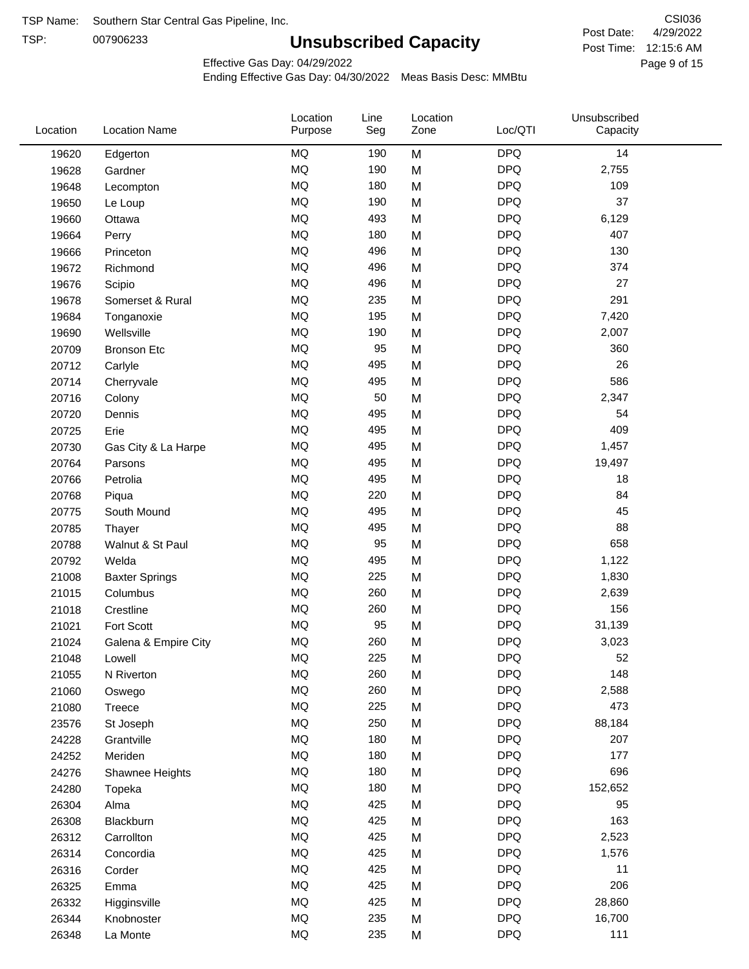TSP:

# **Unsubscribed Capacity**

4/29/2022 Page 9 of 15 Post Time: 12:15:6 AM CSI036 Post Date:

Effective Gas Day: 04/29/2022

| Location | <b>Location Name</b>  | Location<br>Purpose | Line<br>Seg | Location<br>Zone | Loc/QTI    | Unsubscribed<br>Capacity |  |
|----------|-----------------------|---------------------|-------------|------------------|------------|--------------------------|--|
| 19620    | Edgerton              | <b>MQ</b>           | 190         | M                | <b>DPQ</b> | 14                       |  |
| 19628    | Gardner               | <b>MQ</b>           | 190         | M                | <b>DPQ</b> | 2,755                    |  |
| 19648    | Lecompton             | <b>MQ</b>           | 180         | M                | <b>DPQ</b> | 109                      |  |
| 19650    | Le Loup               | <b>MQ</b>           | 190         | M                | <b>DPQ</b> | 37                       |  |
| 19660    | Ottawa                | <b>MQ</b>           | 493         | M                | <b>DPQ</b> | 6,129                    |  |
| 19664    | Perry                 | <b>MQ</b>           | 180         | M                | <b>DPQ</b> | 407                      |  |
| 19666    | Princeton             | <b>MQ</b>           | 496         | M                | <b>DPQ</b> | 130                      |  |
| 19672    | Richmond              | <b>MQ</b>           | 496         | M                | <b>DPQ</b> | 374                      |  |
| 19676    | Scipio                | <b>MQ</b>           | 496         | M                | <b>DPQ</b> | 27                       |  |
| 19678    | Somerset & Rural      | <b>MQ</b>           | 235         | M                | <b>DPQ</b> | 291                      |  |
| 19684    | Tonganoxie            | <b>MQ</b>           | 195         | M                | <b>DPQ</b> | 7,420                    |  |
| 19690    | Wellsville            | <b>MQ</b>           | 190         | M                | <b>DPQ</b> | 2,007                    |  |
| 20709    | <b>Bronson Etc</b>    | <b>MQ</b>           | 95          | M                | <b>DPQ</b> | 360                      |  |
| 20712    | Carlyle               | <b>MQ</b>           | 495         | M                | <b>DPQ</b> | 26                       |  |
| 20714    | Cherryvale            | <b>MQ</b>           | 495         | M                | <b>DPQ</b> | 586                      |  |
| 20716    | Colony                | <b>MQ</b>           | 50          | M                | <b>DPQ</b> | 2,347                    |  |
| 20720    | Dennis                | <b>MQ</b>           | 495         | M                | <b>DPQ</b> | 54                       |  |
| 20725    | Erie                  | <b>MQ</b>           | 495         | M                | <b>DPQ</b> | 409                      |  |
| 20730    | Gas City & La Harpe   | <b>MQ</b>           | 495         | M                | <b>DPQ</b> | 1,457                    |  |
| 20764    | Parsons               | <b>MQ</b>           | 495         | M                | <b>DPQ</b> | 19,497                   |  |
| 20766    | Petrolia              | <b>MQ</b>           | 495         | M                | <b>DPQ</b> | 18                       |  |
| 20768    | Piqua                 | <b>MQ</b>           | 220         | M                | <b>DPQ</b> | 84                       |  |
| 20775    | South Mound           | <b>MQ</b>           | 495         | M                | <b>DPQ</b> | 45                       |  |
| 20785    | Thayer                | <b>MQ</b>           | 495         | M                | <b>DPQ</b> | 88                       |  |
| 20788    | Walnut & St Paul      | <b>MQ</b>           | 95          | M                | <b>DPQ</b> | 658                      |  |
| 20792    | Welda                 | <b>MQ</b>           | 495         | M                | <b>DPQ</b> | 1,122                    |  |
| 21008    | <b>Baxter Springs</b> | <b>MQ</b>           | 225         | M                | <b>DPQ</b> | 1,830                    |  |
| 21015    | Columbus              | <b>MQ</b>           | 260         | M                | <b>DPQ</b> | 2,639                    |  |
| 21018    | Crestline             | <b>MQ</b>           | 260         | M                | <b>DPQ</b> | 156                      |  |
| 21021    | Fort Scott            | <b>MQ</b>           | 95          | M                | <b>DPQ</b> | 31,139                   |  |
| 21024    | Galena & Empire City  | <b>MQ</b>           | 260         | M                | <b>DPQ</b> | 3,023                    |  |
| 21048    | Lowell                | <b>MQ</b>           | 225         | M                | <b>DPQ</b> | 52                       |  |
| 21055    | N Riverton            | MQ                  | 260         | M                | <b>DPQ</b> | 148                      |  |
| 21060    | Oswego                | <b>MQ</b>           | 260         | M                | <b>DPQ</b> | 2,588                    |  |
| 21080    | Treece                | <b>MQ</b>           | 225         | M                | <b>DPQ</b> | 473                      |  |
| 23576    | St Joseph             | MQ                  | 250         | M                | <b>DPQ</b> | 88,184                   |  |
| 24228    | Grantville            | <b>MQ</b>           | 180         | M                | <b>DPQ</b> | 207                      |  |
| 24252    | Meriden               | <b>MQ</b>           | 180         | M                | <b>DPQ</b> | 177                      |  |
| 24276    | Shawnee Heights       | <b>MQ</b>           | 180         | M                | <b>DPQ</b> | 696                      |  |
| 24280    | Topeka                | <b>MQ</b>           | 180         | M                | <b>DPQ</b> | 152,652                  |  |
| 26304    | Alma                  | <b>MQ</b>           | 425         | M                | <b>DPQ</b> | 95                       |  |
| 26308    | Blackburn             | <b>MQ</b>           | 425         | M                | <b>DPQ</b> | 163                      |  |
| 26312    | Carrollton            | <b>MQ</b>           | 425         | M                | <b>DPQ</b> | 2,523                    |  |
| 26314    | Concordia             | <b>MQ</b>           | 425         | M                | <b>DPQ</b> | 1,576                    |  |
| 26316    | Corder                | <b>MQ</b>           | 425         | M                | <b>DPQ</b> | 11                       |  |
| 26325    | Emma                  | <b>MQ</b>           | 425         | M                | <b>DPQ</b> | 206                      |  |
| 26332    | Higginsville          | <b>MQ</b>           | 425         | M                | <b>DPQ</b> | 28,860                   |  |
| 26344    | Knobnoster            | <b>MQ</b>           | 235         | M                | <b>DPQ</b> | 16,700                   |  |
| 26348    | La Monte              | <b>MQ</b>           | 235         | M                | <b>DPQ</b> | 111                      |  |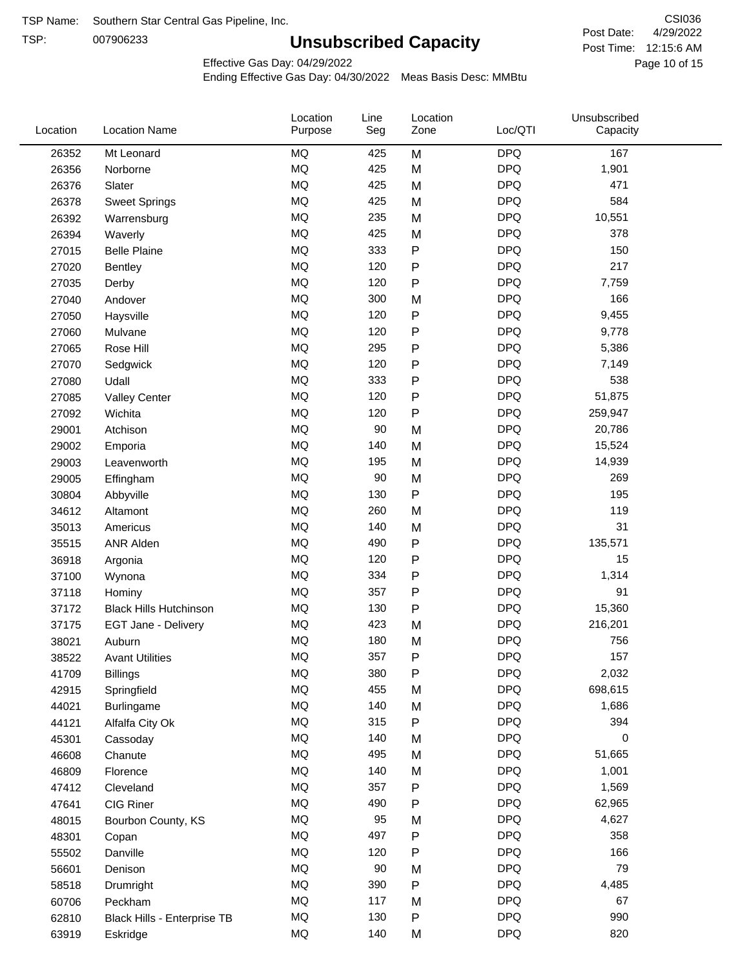TSP:

# **Unsubscribed Capacity**

4/29/2022 Page 10 of 15 Post Time: 12:15:6 AM CSI036 Post Date:

Unsubscribed

Effective Gas Day: 04/29/2022

Location

Ending Effective Gas Day: 04/30/2022 Meas Basis Desc: MMBtu

Line

Location

| Location | <b>Location Name</b>          | Purpose   | Seg | Zone      | Loc/QTI    | Capacity |  |
|----------|-------------------------------|-----------|-----|-----------|------------|----------|--|
| 26352    | Mt Leonard                    | <b>MQ</b> | 425 | M         | <b>DPQ</b> | 167      |  |
| 26356    | Norborne                      | MQ        | 425 | M         | <b>DPQ</b> | 1,901    |  |
| 26376    | Slater                        | MQ        | 425 | M         | <b>DPQ</b> | 471      |  |
| 26378    | <b>Sweet Springs</b>          | MQ        | 425 | M         | <b>DPQ</b> | 584      |  |
| 26392    | Warrensburg                   | MQ        | 235 | M         | <b>DPQ</b> | 10,551   |  |
| 26394    | Waverly                       | MQ        | 425 | M         | <b>DPQ</b> | 378      |  |
| 27015    | <b>Belle Plaine</b>           | MQ        | 333 | ${\sf P}$ | <b>DPQ</b> | 150      |  |
| 27020    | <b>Bentley</b>                | <b>MQ</b> | 120 | ${\sf P}$ | <b>DPQ</b> | 217      |  |
| 27035    | Derby                         | <b>MQ</b> | 120 | P         | <b>DPQ</b> | 7,759    |  |
| 27040    | Andover                       | <b>MQ</b> | 300 | M         | <b>DPQ</b> | 166      |  |
| 27050    | Haysville                     | MQ        | 120 | ${\sf P}$ | <b>DPQ</b> | 9,455    |  |
| 27060    | Mulvane                       | MQ        | 120 | $\sf P$   | <b>DPQ</b> | 9,778    |  |
| 27065    | Rose Hill                     | MQ        | 295 | ${\sf P}$ | <b>DPQ</b> | 5,386    |  |
| 27070    | Sedgwick                      | MQ        | 120 | ${\sf P}$ | <b>DPQ</b> | 7,149    |  |
| 27080    | Udall                         | <b>MQ</b> | 333 | ${\sf P}$ | <b>DPQ</b> | 538      |  |
| 27085    | <b>Valley Center</b>          | MQ        | 120 | ${\sf P}$ | <b>DPQ</b> | 51,875   |  |
| 27092    | Wichita                       | <b>MQ</b> | 120 | ${\sf P}$ | <b>DPQ</b> | 259,947  |  |
| 29001    | Atchison                      | <b>MQ</b> | 90  | M         | <b>DPQ</b> | 20,786   |  |
| 29002    | Emporia                       | MQ        | 140 | M         | <b>DPQ</b> | 15,524   |  |
| 29003    | Leavenworth                   | MQ        | 195 | M         | <b>DPQ</b> | 14,939   |  |
| 29005    | Effingham                     | MQ        | 90  | M         | <b>DPQ</b> | 269      |  |
| 30804    | Abbyville                     | MQ        | 130 | ${\sf P}$ | <b>DPQ</b> | 195      |  |
| 34612    | Altamont                      | <b>MQ</b> | 260 | M         | <b>DPQ</b> | 119      |  |
| 35013    | Americus                      | <b>MQ</b> | 140 | M         | <b>DPQ</b> | 31       |  |
| 35515    | ANR Alden                     | MQ        | 490 | ${\sf P}$ | <b>DPQ</b> | 135,571  |  |
| 36918    | Argonia                       | MQ        | 120 | ${\sf P}$ | <b>DPQ</b> | 15       |  |
| 37100    | Wynona                        | MQ        | 334 | ${\sf P}$ | <b>DPQ</b> | 1,314    |  |
| 37118    | Hominy                        | MQ        | 357 | ${\sf P}$ | <b>DPQ</b> | 91       |  |
| 37172    | <b>Black Hills Hutchinson</b> | MQ        | 130 | ${\sf P}$ | <b>DPQ</b> | 15,360   |  |
| 37175    | EGT Jane - Delivery           | $\sf{MQ}$ | 423 | M         | <b>DPQ</b> | 216,201  |  |
| 38021    | Auburn                        | MQ        | 180 | M         | <b>DPQ</b> | 756      |  |
| 38522    | <b>Avant Utilities</b>        | MQ        | 357 | ${\sf P}$ | <b>DPQ</b> | 157      |  |
| 41709    | Billings                      | MQ        | 380 | P         | <b>DPQ</b> | 2,032    |  |
| 42915    | Springfield                   | MQ        | 455 | M         | <b>DPQ</b> | 698,615  |  |
| 44021    | Burlingame                    | MQ        | 140 | M         | <b>DPQ</b> | 1,686    |  |
| 44121    | Alfalfa City Ok               | MQ        | 315 | ${\sf P}$ | <b>DPQ</b> | 394      |  |
| 45301    | Cassoday                      | MQ        | 140 | M         | <b>DPQ</b> | 0        |  |
| 46608    | Chanute                       | MQ        | 495 | M         | <b>DPQ</b> | 51,665   |  |
| 46809    | Florence                      | MQ        | 140 | M         | <b>DPQ</b> | 1,001    |  |
| 47412    | Cleveland                     | MQ        | 357 | ${\sf P}$ | <b>DPQ</b> | 1,569    |  |
| 47641    | CIG Riner                     | MQ        | 490 | P         | <b>DPQ</b> | 62,965   |  |
| 48015    | Bourbon County, KS            | MQ        | 95  | M         | <b>DPQ</b> | 4,627    |  |
| 48301    | Copan                         | MQ        | 497 | ${\sf P}$ | <b>DPQ</b> | 358      |  |
| 55502    | Danville                      | $\sf{MQ}$ | 120 | ${\sf P}$ | <b>DPQ</b> | 166      |  |
| 56601    | Denison                       | MQ        | 90  | M         | <b>DPQ</b> | 79       |  |
| 58518    | Drumright                     | MQ        | 390 | P         | <b>DPQ</b> | 4,485    |  |
| 60706    | Peckham                       | MQ        | 117 | M         | <b>DPQ</b> | 67       |  |
| 62810    | Black Hills - Enterprise TB   | MQ        | 130 | P         | <b>DPQ</b> | 990      |  |
| 63919    | Eskridge                      | MQ        | 140 | M         | <b>DPQ</b> | 820      |  |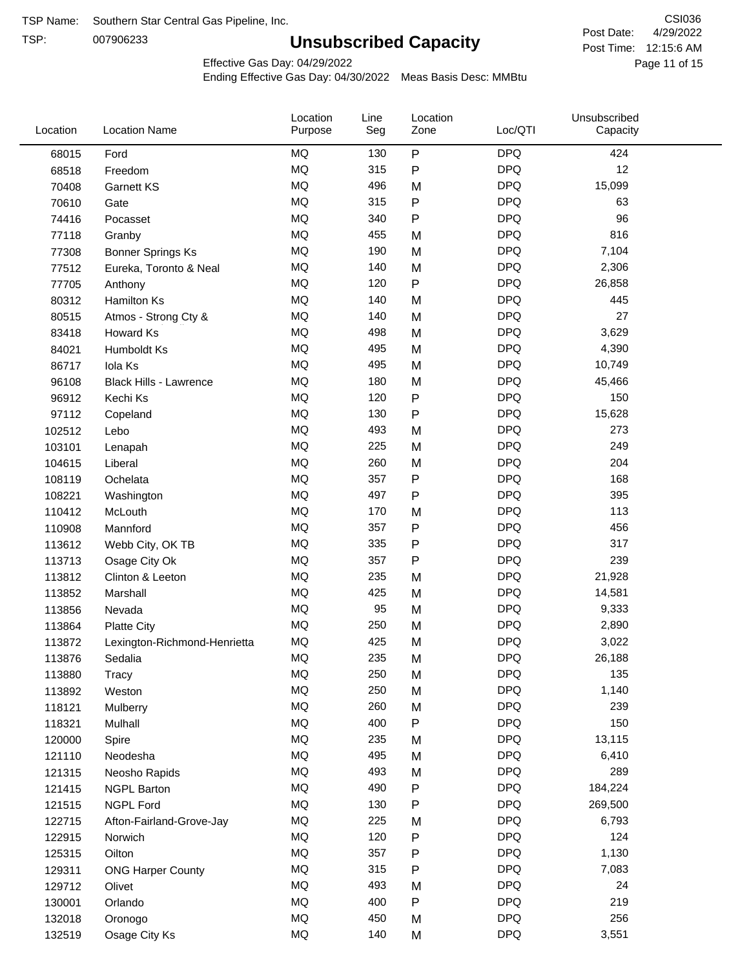TSP:

# **Unsubscribed Capacity**

4/29/2022 Page 11 of 15 Post Time: 12:15:6 AM CSI036 Post Date:

Effective Gas Day: 04/29/2022

| Location | <b>Location Name</b>          | Location<br>Purpose | Line<br>Seg | Location<br>Zone | Loc/QTI    | Unsubscribed<br>Capacity |  |
|----------|-------------------------------|---------------------|-------------|------------------|------------|--------------------------|--|
| 68015    | Ford                          | MQ                  | 130         | $\sf P$          | <b>DPQ</b> | 424                      |  |
| 68518    | Freedom                       | MQ                  | 315         | P                | <b>DPQ</b> | 12                       |  |
| 70408    | Garnett KS                    | MQ                  | 496         | M                | <b>DPQ</b> | 15,099                   |  |
| 70610    | Gate                          | <b>MQ</b>           | 315         | P                | <b>DPQ</b> | 63                       |  |
| 74416    | Pocasset                      | <b>MQ</b>           | 340         | P                | <b>DPQ</b> | 96                       |  |
| 77118    | Granby                        | <b>MQ</b>           | 455         | M                | <b>DPQ</b> | 816                      |  |
| 77308    | Bonner Springs Ks             | MQ                  | 190         | M                | <b>DPQ</b> | 7,104                    |  |
| 77512    | Eureka, Toronto & Neal        | MQ                  | 140         | M                | <b>DPQ</b> | 2,306                    |  |
| 77705    | Anthony                       | <b>MQ</b>           | 120         | ${\sf P}$        | <b>DPQ</b> | 26,858                   |  |
| 80312    | Hamilton Ks                   | <b>MQ</b>           | 140         | M                | <b>DPQ</b> | 445                      |  |
| 80515    | Atmos - Strong Cty &          | MQ                  | 140         | M                | <b>DPQ</b> | 27                       |  |
| 83418    | Howard Ks                     | <b>MQ</b>           | 498         | M                | <b>DPQ</b> | 3,629                    |  |
| 84021    | Humboldt Ks                   | <b>MQ</b>           | 495         | M                | <b>DPQ</b> | 4,390                    |  |
| 86717    | Iola Ks                       | <b>MQ</b>           | 495         | M                | <b>DPQ</b> | 10,749                   |  |
| 96108    | <b>Black Hills - Lawrence</b> | MQ                  | 180         | M                | <b>DPQ</b> | 45,466                   |  |
| 96912    | Kechi Ks                      | MQ                  | 120         | P                | <b>DPQ</b> | 150                      |  |
| 97112    | Copeland                      | MQ                  | 130         | P                | <b>DPQ</b> | 15,628                   |  |
| 102512   | Lebo                          | <b>MQ</b>           | 493         | M                | <b>DPQ</b> | 273                      |  |
| 103101   | Lenapah                       | <b>MQ</b>           | 225         | M                | <b>DPQ</b> | 249                      |  |
| 104615   | Liberal                       | <b>MQ</b>           | 260         | M                | <b>DPQ</b> | 204                      |  |
| 108119   | Ochelata                      | MQ                  | 357         | P                | <b>DPQ</b> | 168                      |  |
| 108221   | Washington                    | <b>MQ</b>           | 497         | P                | <b>DPQ</b> | 395                      |  |
| 110412   | McLouth                       | <b>MQ</b>           | 170         | M                | <b>DPQ</b> | 113                      |  |
| 110908   | Mannford                      | MQ                  | 357         | P                | <b>DPQ</b> | 456                      |  |
| 113612   | Webb City, OK TB              | MQ                  | 335         | P                | <b>DPQ</b> | 317                      |  |
| 113713   | Osage City Ok                 | <b>MQ</b>           | 357         | $\mathsf{P}$     | <b>DPQ</b> | 239                      |  |
| 113812   | Clinton & Leeton              | <b>MQ</b>           | 235         | M                | <b>DPQ</b> | 21,928                   |  |
| 113852   | Marshall                      | <b>MQ</b>           | 425         | M                | <b>DPQ</b> | 14,581                   |  |
| 113856   | Nevada                        | MQ                  | 95          | M                | <b>DPQ</b> | 9,333                    |  |
| 113864   | <b>Platte City</b>            | MQ                  | 250         | M                | <b>DPQ</b> | 2,890                    |  |
| 113872   | Lexington-Richmond-Henrietta  | MQ                  | 425         | M                | <b>DPQ</b> | 3,022                    |  |
| 113876   | Sedalia                       | MQ                  | 235         | M                | <b>DPQ</b> | 26,188                   |  |
| 113880   | Tracy                         | MQ                  | 250         | M                | <b>DPQ</b> | 135                      |  |
| 113892   | Weston                        | MQ                  | 250         | M                | <b>DPQ</b> | 1,140                    |  |
| 118121   | Mulberry                      | MQ                  | 260         | M                | <b>DPQ</b> | 239                      |  |
| 118321   | Mulhall                       | MQ                  | 400         | P                | <b>DPQ</b> | 150                      |  |
| 120000   | Spire                         | MQ                  | 235         | M                | <b>DPQ</b> | 13,115                   |  |
| 121110   | Neodesha                      | MQ                  | 495         | M                | <b>DPQ</b> | 6,410                    |  |
| 121315   | Neosho Rapids                 | $\sf{MQ}$           | 493         | M                | <b>DPQ</b> | 289                      |  |
| 121415   | <b>NGPL Barton</b>            | MQ                  | 490         | P                | <b>DPQ</b> | 184,224                  |  |
| 121515   | <b>NGPL Ford</b>              | MQ                  | 130         | P                | <b>DPQ</b> | 269,500                  |  |
| 122715   | Afton-Fairland-Grove-Jay      | MQ                  | 225         | M                | <b>DPQ</b> | 6,793                    |  |
| 122915   | Norwich                       | MQ                  | 120         | P                | <b>DPQ</b> | 124                      |  |
| 125315   | Oilton                        | MQ                  | 357         | P                | <b>DPQ</b> | 1,130                    |  |
| 129311   | <b>ONG Harper County</b>      | MQ                  | 315         | P                | <b>DPQ</b> | 7,083                    |  |
| 129712   | Olivet                        | MQ                  | 493         | M                | <b>DPQ</b> | 24                       |  |
| 130001   | Orlando                       | MQ                  | 400         | P                | <b>DPQ</b> | 219                      |  |
| 132018   | Oronogo                       | $\sf{MQ}$           | 450         | M                | <b>DPQ</b> | 256                      |  |
| 132519   | Osage City Ks                 | $\sf{MQ}$           | 140         | M                | <b>DPQ</b> | 3,551                    |  |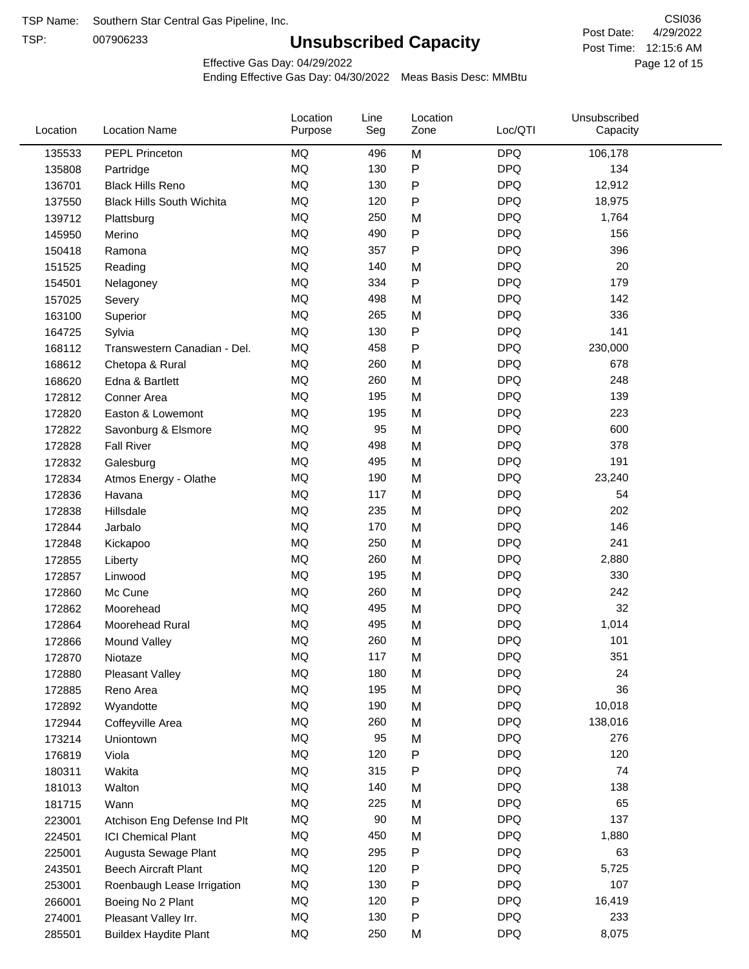TSP:

# **Unsubscribed Capacity**

4/29/2022 Page 12 of 15 Post Time: 12:15:6 AM CSI036 Post Date:

Effective Gas Day: 04/29/2022

| Location | <b>Location Name</b>             | Location<br>Purpose | Line<br>Seg | Location<br>Zone | Loc/QTI    | Unsubscribed<br>Capacity |  |
|----------|----------------------------------|---------------------|-------------|------------------|------------|--------------------------|--|
| 135533   | PEPL Princeton                   | <b>MQ</b>           | 496         | M                | <b>DPQ</b> | 106,178                  |  |
| 135808   | Partridge                        | <b>MQ</b>           | 130         | P                | <b>DPQ</b> | 134                      |  |
| 136701   | <b>Black Hills Reno</b>          | <b>MQ</b>           | 130         | P                | <b>DPQ</b> | 12,912                   |  |
| 137550   | <b>Black Hills South Wichita</b> | <b>MQ</b>           | 120         | P                | <b>DPQ</b> | 18,975                   |  |
| 139712   | Plattsburg                       | <b>MQ</b>           | 250         | M                | <b>DPQ</b> | 1,764                    |  |
| 145950   | Merino                           | <b>MQ</b>           | 490         | P                | <b>DPQ</b> | 156                      |  |
| 150418   | Ramona                           | <b>MQ</b>           | 357         | P                | <b>DPQ</b> | 396                      |  |
| 151525   | Reading                          | <b>MQ</b>           | 140         | M                | <b>DPQ</b> | 20                       |  |
| 154501   | Nelagoney                        | <b>MQ</b>           | 334         | Ρ                | <b>DPQ</b> | 179                      |  |
| 157025   | Severy                           | <b>MQ</b>           | 498         | M                | <b>DPQ</b> | 142                      |  |
| 163100   | Superior                         | <b>MQ</b>           | 265         | M                | <b>DPQ</b> | 336                      |  |
| 164725   | Sylvia                           | <b>MQ</b>           | 130         | P                | <b>DPQ</b> | 141                      |  |
| 168112   | Transwestern Canadian - Del.     | MQ                  | 458         | P                | <b>DPQ</b> | 230,000                  |  |
| 168612   | Chetopa & Rural                  | <b>MQ</b>           | 260         | M                | <b>DPQ</b> | 678                      |  |
| 168620   | Edna & Bartlett                  | <b>MQ</b>           | 260         | M                | <b>DPQ</b> | 248                      |  |
| 172812   | Conner Area                      | <b>MQ</b>           | 195         | M                | <b>DPQ</b> | 139                      |  |
| 172820   | Easton & Lowemont                | <b>MQ</b>           | 195         | M                | <b>DPQ</b> | 223                      |  |
| 172822   | Savonburg & Elsmore              | <b>MQ</b>           | 95          | M                | <b>DPQ</b> | 600                      |  |
| 172828   | <b>Fall River</b>                | <b>MQ</b>           | 498         | M                | <b>DPQ</b> | 378                      |  |
| 172832   | Galesburg                        | <b>MQ</b>           | 495         | M                | <b>DPQ</b> | 191                      |  |
| 172834   | Atmos Energy - Olathe            | MQ                  | 190         | M                | <b>DPQ</b> | 23,240                   |  |
| 172836   | Havana                           | <b>MQ</b>           | 117         | M                | <b>DPQ</b> | 54                       |  |
| 172838   | Hillsdale                        | <b>MQ</b>           | 235         | M                | <b>DPQ</b> | 202                      |  |
| 172844   | Jarbalo                          | <b>MQ</b>           | 170         | M                | <b>DPQ</b> | 146                      |  |
| 172848   | Kickapoo                         | <b>MQ</b>           | 250         | M                | <b>DPQ</b> | 241                      |  |
| 172855   | Liberty                          | <b>MQ</b>           | 260         | M                | <b>DPQ</b> | 2,880                    |  |
| 172857   | Linwood                          | <b>MQ</b>           | 195         | M                | <b>DPQ</b> | 330                      |  |
| 172860   | Mc Cune                          | <b>MQ</b>           | 260         | M                | <b>DPQ</b> | 242                      |  |
| 172862   | Moorehead                        | <b>MQ</b>           | 495         | M                | <b>DPQ</b> | 32                       |  |
| 172864   | Moorehead Rural                  | <b>MQ</b>           | 495         | M                | <b>DPQ</b> | 1,014                    |  |
| 172866   | Mound Valley                     | <b>MQ</b>           | 260         | M                | <b>DPQ</b> | 101                      |  |
| 172870   | Niotaze                          | MQ                  | 117         | Μ                | <b>DPQ</b> | 351                      |  |
| 172880   | <b>Pleasant Valley</b>           | MQ                  | 180         | M                | <b>DPQ</b> | 24                       |  |
| 172885   | Reno Area                        | <b>MQ</b>           | 195         | M                | <b>DPQ</b> | 36                       |  |
| 172892   | Wyandotte                        | MQ                  | 190         | M                | <b>DPQ</b> | 10,018                   |  |
| 172944   | Coffeyville Area                 | MQ                  | 260         | M                | <b>DPQ</b> | 138,016                  |  |
| 173214   | Uniontown                        | <b>MQ</b>           | 95          | M                | <b>DPQ</b> | 276                      |  |
| 176819   | Viola                            | <b>MQ</b>           | 120         | Ρ                | <b>DPQ</b> | 120                      |  |
| 180311   | Wakita                           | <b>MQ</b>           | 315         | Ρ                | <b>DPQ</b> | 74                       |  |
| 181013   | Walton                           | <b>MQ</b>           | 140         | M                | <b>DPQ</b> | 138                      |  |
| 181715   | Wann                             | MQ                  | 225         | M                | <b>DPQ</b> | 65                       |  |
| 223001   | Atchison Eng Defense Ind Plt     | <b>MQ</b>           | 90          | M                | <b>DPQ</b> | 137                      |  |
| 224501   | <b>ICI Chemical Plant</b>        | MQ                  | 450         | M                | <b>DPQ</b> | 1,880                    |  |
| 225001   | Augusta Sewage Plant             | MQ                  | 295         | Ρ                | <b>DPQ</b> | 63                       |  |
| 243501   | <b>Beech Aircraft Plant</b>      | MQ                  | 120         | Ρ                | <b>DPQ</b> | 5,725                    |  |
| 253001   | Roenbaugh Lease Irrigation       | <b>MQ</b>           | 130         | Ρ                | <b>DPQ</b> | 107                      |  |
| 266001   | Boeing No 2 Plant                | <b>MQ</b>           | 120         | Ρ                | <b>DPQ</b> | 16,419                   |  |
| 274001   | Pleasant Valley Irr.             | <b>MQ</b>           | 130         | Ρ                | <b>DPQ</b> | 233                      |  |
| 285501   | <b>Buildex Haydite Plant</b>     | MQ                  | 250         | M                | <b>DPQ</b> | 8,075                    |  |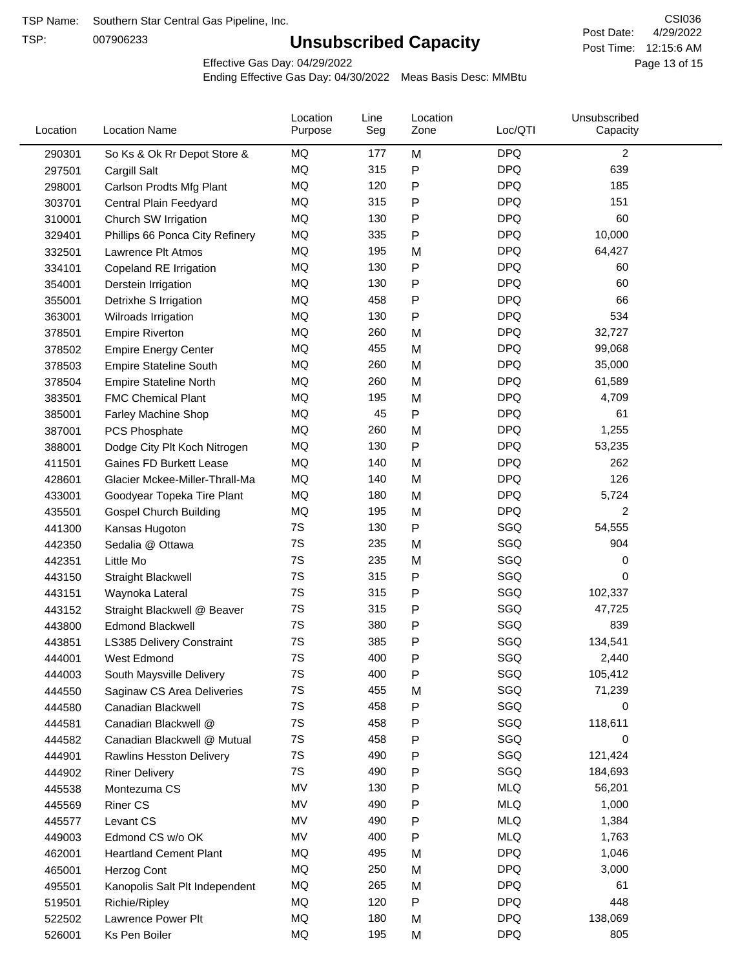TSP:

# **Unsubscribed Capacity**

4/29/2022 Page 13 of 15 Post Time: 12:15:6 AM CSI036 Post Date:

Effective Gas Day: 04/29/2022

| Location | <b>Location Name</b>             | Location<br>Purpose | Line<br>Seg | Location<br>Zone | Loc/QTI    | Unsubscribed<br>Capacity |  |
|----------|----------------------------------|---------------------|-------------|------------------|------------|--------------------------|--|
| 290301   | So Ks & Ok Rr Depot Store &      | MQ                  | 177         | M                | <b>DPQ</b> | 2                        |  |
| 297501   | Cargill Salt                     | MQ                  | 315         | P                | <b>DPQ</b> | 639                      |  |
| 298001   | Carlson Prodts Mfg Plant         | MQ                  | 120         | Ρ                | <b>DPQ</b> | 185                      |  |
| 303701   | Central Plain Feedyard           | <b>MQ</b>           | 315         | Ρ                | <b>DPQ</b> | 151                      |  |
| 310001   | Church SW Irrigation             | MQ                  | 130         | Ρ                | <b>DPQ</b> | 60                       |  |
| 329401   | Phillips 66 Ponca City Refinery  | MQ                  | 335         | Ρ                | <b>DPQ</b> | 10,000                   |  |
| 332501   | Lawrence Plt Atmos               | MQ                  | 195         | M                | <b>DPQ</b> | 64,427                   |  |
| 334101   | Copeland RE Irrigation           | <b>MQ</b>           | 130         | P                | <b>DPQ</b> | 60                       |  |
| 354001   | Derstein Irrigation              | MQ                  | 130         | Ρ                | <b>DPQ</b> | 60                       |  |
| 355001   | Detrixhe S Irrigation            | MQ                  | 458         | Ρ                | <b>DPQ</b> | 66                       |  |
| 363001   | Wilroads Irrigation              | MQ                  | 130         | Ρ                | <b>DPQ</b> | 534                      |  |
| 378501   | <b>Empire Riverton</b>           | MQ                  | 260         | M                | <b>DPQ</b> | 32,727                   |  |
| 378502   | <b>Empire Energy Center</b>      | MQ                  | 455         | M                | <b>DPQ</b> | 99,068                   |  |
| 378503   | <b>Empire Stateline South</b>    | MQ                  | 260         | M                | <b>DPQ</b> | 35,000                   |  |
| 378504   | <b>Empire Stateline North</b>    | MQ                  | 260         | M                | <b>DPQ</b> | 61,589                   |  |
| 383501   | <b>FMC Chemical Plant</b>        | MQ                  | 195         | M                | <b>DPQ</b> | 4,709                    |  |
| 385001   | Farley Machine Shop              | MQ                  | 45          | P                | <b>DPQ</b> | 61                       |  |
| 387001   | PCS Phosphate                    | MQ                  | 260         | M                | <b>DPQ</b> | 1,255                    |  |
| 388001   | Dodge City Plt Koch Nitrogen     | MQ                  | 130         | Ρ                | <b>DPQ</b> | 53,235                   |  |
| 411501   | <b>Gaines FD Burkett Lease</b>   | MQ                  | 140         | M                | <b>DPQ</b> | 262                      |  |
| 428601   | Glacier Mckee-Miller-Thrall-Ma   | MQ                  | 140         | M                | <b>DPQ</b> | 126                      |  |
| 433001   | Goodyear Topeka Tire Plant       | MQ                  | 180         | M                | <b>DPQ</b> | 5,724                    |  |
| 435501   | <b>Gospel Church Building</b>    | MQ                  | 195         | M                | <b>DPQ</b> | 2                        |  |
| 441300   | Kansas Hugoton                   | 7S                  | 130         | Ρ                | SGQ        | 54,555                   |  |
| 442350   | Sedalia @ Ottawa                 | 7S                  | 235         | M                | SGQ        | 904                      |  |
| 442351   | Little Mo                        | 7S                  | 235         | M                | SGQ        | 0                        |  |
| 443150   | <b>Straight Blackwell</b>        | 7S                  | 315         | Ρ                | SGQ        | 0                        |  |
| 443151   | Waynoka Lateral                  | 7S                  | 315         | Ρ                | SGQ        | 102,337                  |  |
| 443152   | Straight Blackwell @ Beaver      | 7S                  | 315         | Ρ                | SGQ        | 47,725                   |  |
| 443800   | <b>Edmond Blackwell</b>          | 7S                  | 380         | Ρ                | SGQ        | 839                      |  |
| 443851   | <b>LS385 Delivery Constraint</b> | 7S                  | 385         | Ρ                | SGQ        | 134,541                  |  |
| 444001   | West Edmond                      | 7S                  | 400         | Ρ                | SGQ        | 2,440                    |  |
| 444003   | South Maysville Delivery         | 7S                  | 400         | Ρ                | SGQ        | 105,412                  |  |
| 444550   | Saginaw CS Area Deliveries       | $7\mathrm{S}$       | 455         | M                | SGQ        | 71,239                   |  |
| 444580   | Canadian Blackwell               | 7S                  | 458         | Ρ                | SGQ        | 0                        |  |
| 444581   | Canadian Blackwell @             | 7S                  | 458         | Ρ                | SGQ        | 118,611                  |  |
| 444582   | Canadian Blackwell @ Mutual      | 7S                  | 458         | Ρ                | SGQ        | 0                        |  |
| 444901   | Rawlins Hesston Delivery         | 7S                  | 490         | Ρ                | SGQ        | 121,424                  |  |
| 444902   | <b>Riner Delivery</b>            | 7S                  | 490         | Ρ                | SGQ        | 184,693                  |  |
| 445538   | Montezuma CS                     | MV                  | 130         | Ρ                | <b>MLQ</b> | 56,201                   |  |
| 445569   | <b>Riner CS</b>                  | MV                  | 490         | Ρ                | <b>MLQ</b> | 1,000                    |  |
| 445577   | Levant CS                        | MV                  | 490         | P                | <b>MLQ</b> | 1,384                    |  |
| 449003   | Edmond CS w/o OK                 | MV                  | 400         | Ρ                | <b>MLQ</b> | 1,763                    |  |
| 462001   | <b>Heartland Cement Plant</b>    | MQ                  | 495         | M                | <b>DPQ</b> | 1,046                    |  |
| 465001   | Herzog Cont                      | MQ                  | 250         | M                | <b>DPQ</b> | 3,000                    |  |
| 495501   | Kanopolis Salt Plt Independent   | MQ                  | 265         | M                | <b>DPQ</b> | 61                       |  |
| 519501   | Richie/Ripley                    | MQ                  | 120         | Ρ                | <b>DPQ</b> | 448                      |  |
| 522502   | Lawrence Power Plt               | MQ                  | 180         | M                | <b>DPQ</b> | 138,069                  |  |
| 526001   | Ks Pen Boiler                    | MQ                  | 195         | M                | <b>DPQ</b> | 805                      |  |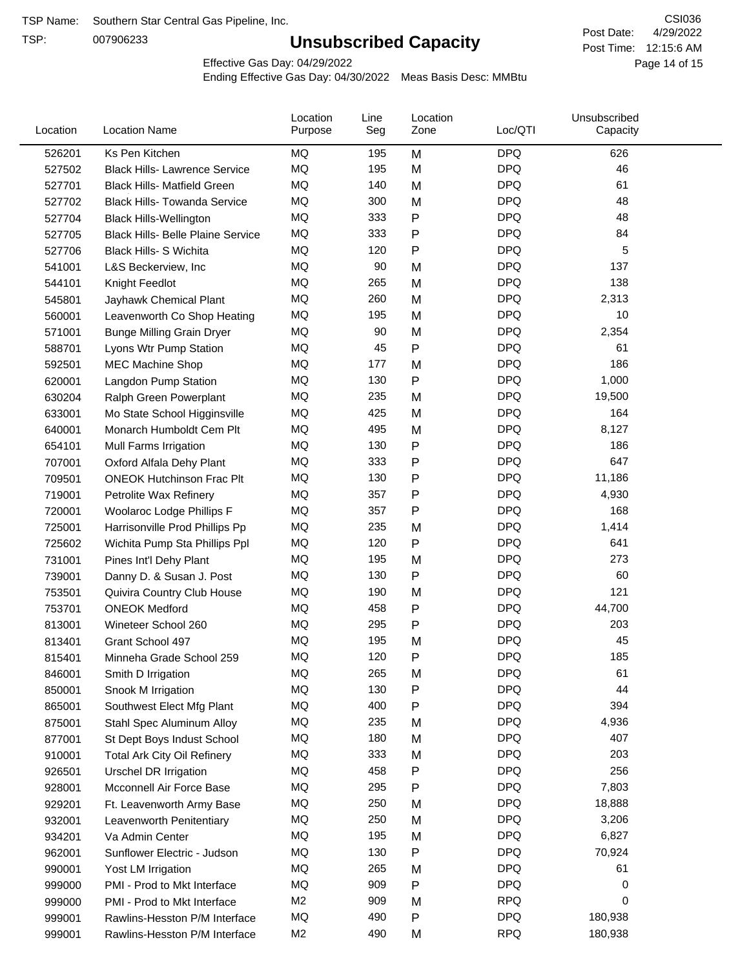TSP:

# **Unsubscribed Capacity**

4/29/2022 Page 14 of 15 Post Time: 12:15:6 AM CSI036 Post Date:

Effective Gas Day: 04/29/2022

| Location | <b>Location Name</b>                     | Location<br>Purpose | Line<br>Seg | Location<br>Zone | Loc/QTI    | Unsubscribed<br>Capacity |  |
|----------|------------------------------------------|---------------------|-------------|------------------|------------|--------------------------|--|
| 526201   | Ks Pen Kitchen                           | MQ                  | 195         | M                | <b>DPQ</b> | 626                      |  |
| 527502   | <b>Black Hills- Lawrence Service</b>     | MQ                  | 195         | M                | <b>DPQ</b> | 46                       |  |
| 527701   | <b>Black Hills- Matfield Green</b>       | <b>MQ</b>           | 140         | M                | <b>DPQ</b> | 61                       |  |
| 527702   | <b>Black Hills- Towanda Service</b>      | MQ                  | 300         | M                | <b>DPQ</b> | 48                       |  |
| 527704   | <b>Black Hills-Wellington</b>            | MQ                  | 333         | Ρ                | <b>DPQ</b> | 48                       |  |
| 527705   | <b>Black Hills- Belle Plaine Service</b> | MQ                  | 333         | Ρ                | <b>DPQ</b> | 84                       |  |
| 527706   | Black Hills- S Wichita                   | MQ                  | 120         | Ρ                | <b>DPQ</b> | 5                        |  |
| 541001   | L&S Beckerview, Inc                      | MQ                  | 90          | M                | <b>DPQ</b> | 137                      |  |
| 544101   | Knight Feedlot                           | MQ                  | 265         | M                | <b>DPQ</b> | 138                      |  |
| 545801   | Jayhawk Chemical Plant                   | MQ                  | 260         | M                | <b>DPQ</b> | 2,313                    |  |
| 560001   | Leavenworth Co Shop Heating              | MQ                  | 195         | M                | <b>DPQ</b> | 10                       |  |
| 571001   | <b>Bunge Milling Grain Dryer</b>         | MQ                  | 90          | M                | <b>DPQ</b> | 2,354                    |  |
| 588701   | Lyons Wtr Pump Station                   | <b>MQ</b>           | 45          | P                | <b>DPQ</b> | 61                       |  |
| 592501   | <b>MEC Machine Shop</b>                  | MQ                  | 177         | M                | <b>DPQ</b> | 186                      |  |
| 620001   | Langdon Pump Station                     | MQ                  | 130         | Ρ                | <b>DPQ</b> | 1,000                    |  |
| 630204   | Ralph Green Powerplant                   | MQ                  | 235         | M                | <b>DPQ</b> | 19,500                   |  |
| 633001   | Mo State School Higginsville             | MQ                  | 425         | M                | <b>DPQ</b> | 164                      |  |
| 640001   | Monarch Humboldt Cem Plt                 | MQ                  | 495         | M                | <b>DPQ</b> | 8,127                    |  |
| 654101   | Mull Farms Irrigation                    | MQ                  | 130         | Ρ                | <b>DPQ</b> | 186                      |  |
| 707001   | Oxford Alfala Dehy Plant                 | MQ                  | 333         | Ρ                | <b>DPQ</b> | 647                      |  |
| 709501   | <b>ONEOK Hutchinson Frac Plt</b>         | MQ                  | 130         | Ρ                | <b>DPQ</b> | 11,186                   |  |
| 719001   | Petrolite Wax Refinery                   | <b>MQ</b>           | 357         | Ρ                | <b>DPQ</b> | 4,930                    |  |
| 720001   | Woolaroc Lodge Phillips F                | MQ                  | 357         | Ρ                | <b>DPQ</b> | 168                      |  |
| 725001   | Harrisonville Prod Phillips Pp           | MQ                  | 235         | M                | <b>DPQ</b> | 1,414                    |  |
| 725602   | Wichita Pump Sta Phillips Ppl            | MQ                  | 120         | Ρ                | <b>DPQ</b> | 641                      |  |
| 731001   | Pines Int'l Dehy Plant                   | MQ                  | 195         | M                | <b>DPQ</b> | 273                      |  |
| 739001   | Danny D. & Susan J. Post                 | MQ                  | 130         | P                | <b>DPQ</b> | 60                       |  |
| 753501   | Quivira Country Club House               | MQ                  | 190         | M                | <b>DPQ</b> | 121                      |  |
| 753701   | <b>ONEOK Medford</b>                     | MQ                  | 458         | P                | <b>DPQ</b> | 44,700                   |  |
| 813001   | Wineteer School 260                      | MQ                  | 295         | Ρ                | <b>DPQ</b> | 203                      |  |
| 813401   | Grant School 497                         | MQ                  | 195         | M                | <b>DPQ</b> | 45                       |  |
| 815401   | Minneha Grade School 259                 | MQ                  | 120         | Ρ                | <b>DPQ</b> | 185                      |  |
| 846001   | Smith D Irrigation                       | ΜQ                  | 265         | M                | <b>DPQ</b> | 61                       |  |
| 850001   | Snook M Irrigation                       | MQ                  | 130         | P                | <b>DPQ</b> | 44                       |  |
| 865001   | Southwest Elect Mfg Plant                | MQ                  | 400         | Ρ                | <b>DPQ</b> | 394                      |  |
| 875001   | Stahl Spec Aluminum Alloy                | MQ                  | 235         | M                | <b>DPQ</b> | 4,936                    |  |
| 877001   | St Dept Boys Indust School               | MQ                  | 180         | M                | <b>DPQ</b> | 407                      |  |
| 910001   | <b>Total Ark City Oil Refinery</b>       | MQ                  | 333         | M                | <b>DPQ</b> | 203                      |  |
| 926501   | <b>Urschel DR Irrigation</b>             | MQ                  | 458         | Ρ                | <b>DPQ</b> | 256                      |  |
| 928001   | Mcconnell Air Force Base                 | MQ                  | 295         | P                | <b>DPQ</b> | 7,803                    |  |
| 929201   | Ft. Leavenworth Army Base                | MQ                  | 250         | M                | <b>DPQ</b> | 18,888                   |  |
| 932001   | Leavenworth Penitentiary                 | MQ                  | 250         | M                | <b>DPQ</b> | 3,206                    |  |
| 934201   | Va Admin Center                          | MQ                  | 195         | M                | <b>DPQ</b> | 6,827                    |  |
| 962001   | Sunflower Electric - Judson              | MQ                  | 130         | Ρ                | <b>DPQ</b> | 70,924                   |  |
| 990001   | Yost LM Irrigation                       | MQ                  | 265         | M                | <b>DPQ</b> | 61                       |  |
| 999000   | PMI - Prod to Mkt Interface              | MQ                  | 909         | Ρ                | <b>DPQ</b> | 0                        |  |
| 999000   | PMI - Prod to Mkt Interface              | M <sub>2</sub>      | 909         | M                | <b>RPQ</b> | 0                        |  |
| 999001   | Rawlins-Hesston P/M Interface            | MQ                  | 490         | Ρ                | <b>DPQ</b> | 180,938                  |  |
| 999001   | Rawlins-Hesston P/M Interface            | M <sub>2</sub>      | 490         | Μ                | <b>RPQ</b> | 180,938                  |  |